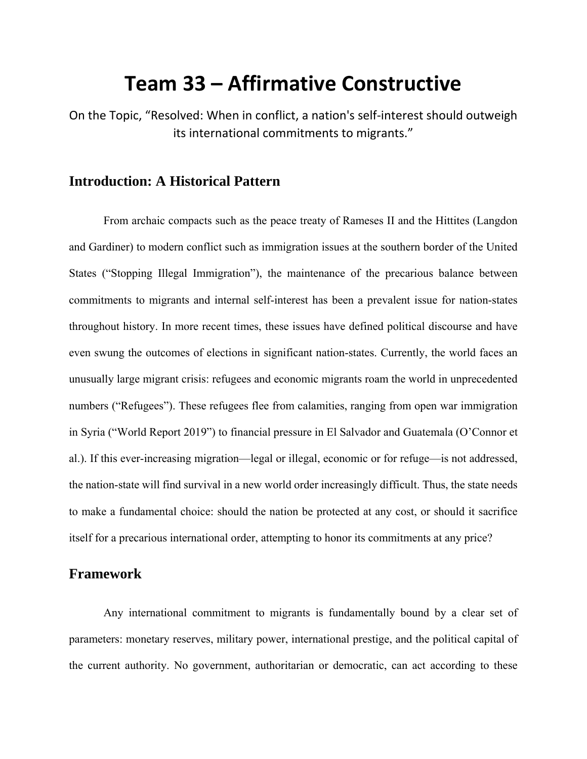# **Team 33 – Affirmative Constructive**

On the Topic, "Resolved: When in conflict, a nation's self‐interest should outweigh its international commitments to migrants."

# **Introduction: A Historical Pattern**

From archaic compacts such as the peace treaty of Rameses II and the Hittites (Langdon and Gardiner) to modern conflict such as immigration issues at the southern border of the United States ("Stopping Illegal Immigration"), the maintenance of the precarious balance between commitments to migrants and internal self-interest has been a prevalent issue for nation-states throughout history. In more recent times, these issues have defined political discourse and have even swung the outcomes of elections in significant nation-states. Currently, the world faces an unusually large migrant crisis: refugees and economic migrants roam the world in unprecedented numbers ("Refugees"). These refugees flee from calamities, ranging from open war immigration in Syria ("World Report 2019") to financial pressure in El Salvador and Guatemala (O'Connor et al.). If this ever-increasing migration—legal or illegal, economic or for refuge—is not addressed, the nation-state will find survival in a new world order increasingly difficult. Thus, the state needs to make a fundamental choice: should the nation be protected at any cost, or should it sacrifice itself for a precarious international order, attempting to honor its commitments at any price?

# **Framework**

Any international commitment to migrants is fundamentally bound by a clear set of parameters: monetary reserves, military power, international prestige, and the political capital of the current authority. No government, authoritarian or democratic, can act according to these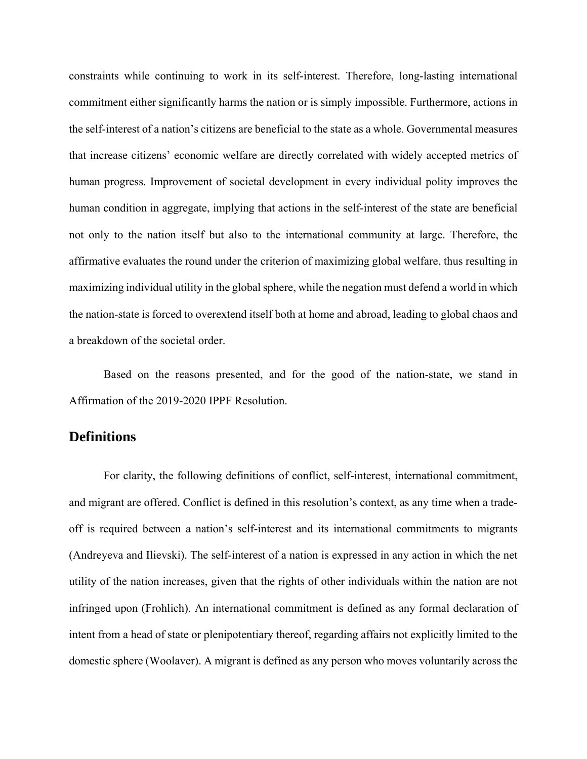constraints while continuing to work in its self-interest. Therefore, long-lasting international commitment either significantly harms the nation or is simply impossible. Furthermore, actions in the self-interest of a nation's citizens are beneficial to the state as a whole. Governmental measures that increase citizens' economic welfare are directly correlated with widely accepted metrics of human progress. Improvement of societal development in every individual polity improves the human condition in aggregate, implying that actions in the self-interest of the state are beneficial not only to the nation itself but also to the international community at large. Therefore, the affirmative evaluates the round under the criterion of maximizing global welfare, thus resulting in maximizing individual utility in the global sphere, while the negation must defend a world in which the nation-state is forced to overextend itself both at home and abroad, leading to global chaos and a breakdown of the societal order.

Based on the reasons presented, and for the good of the nation-state, we stand in Affirmation of the 2019-2020 IPPF Resolution.

## **Definitions**

For clarity, the following definitions of conflict, self-interest, international commitment, and migrant are offered. Conflict is defined in this resolution's context, as any time when a tradeoff is required between a nation's self-interest and its international commitments to migrants (Andreyeva and Ilievski). The self-interest of a nation is expressed in any action in which the net utility of the nation increases, given that the rights of other individuals within the nation are not infringed upon (Frohlich). An international commitment is defined as any formal declaration of intent from a head of state or plenipotentiary thereof, regarding affairs not explicitly limited to the domestic sphere (Woolaver). A migrant is defined as any person who moves voluntarily across the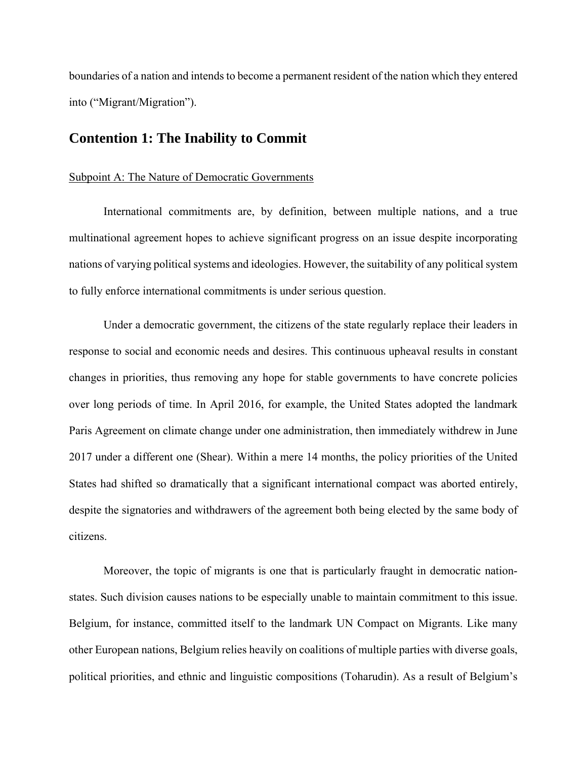boundaries of a nation and intends to become a permanent resident of the nation which they entered into ("Migrant/Migration").

# **Contention 1: The Inability to Commit**

#### Subpoint A: The Nature of Democratic Governments

International commitments are, by definition, between multiple nations, and a true multinational agreement hopes to achieve significant progress on an issue despite incorporating nations of varying political systems and ideologies. However, the suitability of any political system to fully enforce international commitments is under serious question.

Under a democratic government, the citizens of the state regularly replace their leaders in response to social and economic needs and desires. This continuous upheaval results in constant changes in priorities, thus removing any hope for stable governments to have concrete policies over long periods of time. In April 2016, for example, the United States adopted the landmark Paris Agreement on climate change under one administration, then immediately withdrew in June 2017 under a different one (Shear). Within a mere 14 months, the policy priorities of the United States had shifted so dramatically that a significant international compact was aborted entirely, despite the signatories and withdrawers of the agreement both being elected by the same body of citizens.

Moreover, the topic of migrants is one that is particularly fraught in democratic nationstates. Such division causes nations to be especially unable to maintain commitment to this issue. Belgium, for instance, committed itself to the landmark UN Compact on Migrants. Like many other European nations, Belgium relies heavily on coalitions of multiple parties with diverse goals, political priorities, and ethnic and linguistic compositions (Toharudin). As a result of Belgium's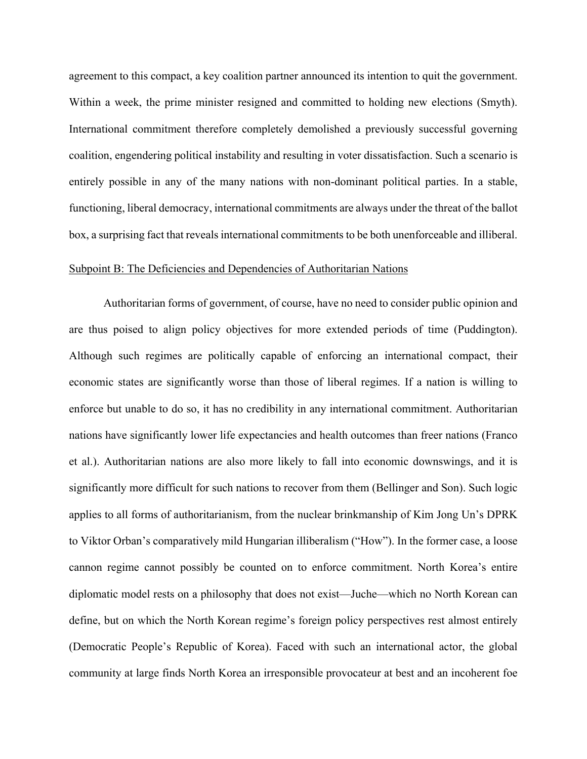agreement to this compact, a key coalition partner announced its intention to quit the government. Within a week, the prime minister resigned and committed to holding new elections (Smyth). International commitment therefore completely demolished a previously successful governing coalition, engendering political instability and resulting in voter dissatisfaction. Such a scenario is entirely possible in any of the many nations with non-dominant political parties. In a stable, functioning, liberal democracy, international commitments are always under the threat of the ballot box, a surprising fact that reveals international commitments to be both unenforceable and illiberal.

#### Subpoint B: The Deficiencies and Dependencies of Authoritarian Nations

Authoritarian forms of government, of course, have no need to consider public opinion and are thus poised to align policy objectives for more extended periods of time (Puddington). Although such regimes are politically capable of enforcing an international compact, their economic states are significantly worse than those of liberal regimes. If a nation is willing to enforce but unable to do so, it has no credibility in any international commitment. Authoritarian nations have significantly lower life expectancies and health outcomes than freer nations (Franco et al.). Authoritarian nations are also more likely to fall into economic downswings, and it is significantly more difficult for such nations to recover from them (Bellinger and Son). Such logic applies to all forms of authoritarianism, from the nuclear brinkmanship of Kim Jong Un's DPRK to Viktor Orban's comparatively mild Hungarian illiberalism ("How"). In the former case, a loose cannon regime cannot possibly be counted on to enforce commitment. North Korea's entire diplomatic model rests on a philosophy that does not exist—Juche—which no North Korean can define, but on which the North Korean regime's foreign policy perspectives rest almost entirely (Democratic People's Republic of Korea). Faced with such an international actor, the global community at large finds North Korea an irresponsible provocateur at best and an incoherent foe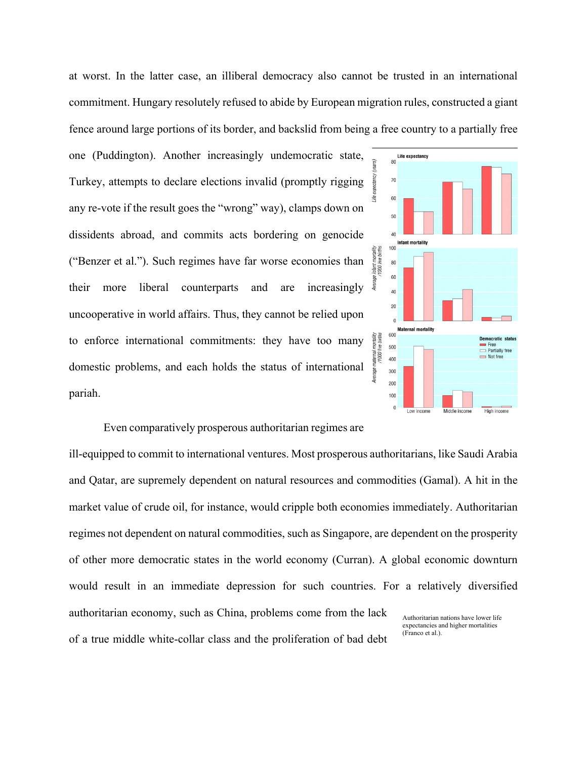at worst. In the latter case, an illiberal democracy also cannot be trusted in an international commitment. Hungary resolutely refused to abide by European migration rules, constructed a giant fence around large portions of its border, and backslid from being a free country to a partially free

one (Puddington). Another increasingly undemocratic state, Turkey, attempts to declare elections invalid (promptly rigging any re-vote if the result goes the "wrong" way), clamps down on dissidents abroad, and commits acts bordering on genocide ("Benzer et al."). Such regimes have far worse economies than their more liberal counterparts and are increasingly uncooperative in world affairs. Thus, they cannot be relied upon to enforce international commitments: they have too many domestic problems, and each holds the status of international pariah.



#### Even comparatively prosperous authoritarian regimes are

ill-equipped to commit to international ventures. Most prosperous authoritarians, like Saudi Arabia and Qatar, are supremely dependent on natural resources and commodities (Gamal). A hit in the market value of crude oil, for instance, would cripple both economies immediately. Authoritarian regimes not dependent on natural commodities, such as Singapore, are dependent on the prosperity of other more democratic states in the world economy (Curran). A global economic downturn would result in an immediate depression for such countries. For a relatively diversified authoritarian economy, such as China, problems come from the lack of a true middle white-collar class and the proliferation of bad debt Authoritarian nations have lower life expectancies and higher mortalities (Franco et al.).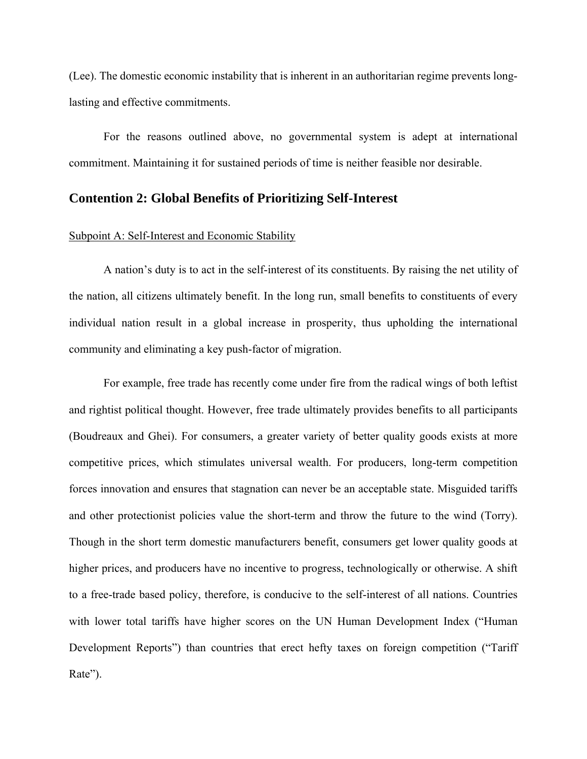(Lee). The domestic economic instability that is inherent in an authoritarian regime prevents longlasting and effective commitments.

For the reasons outlined above, no governmental system is adept at international commitment. Maintaining it for sustained periods of time is neither feasible nor desirable.

#### **Contention 2: Global Benefits of Prioritizing Self-Interest**

#### Subpoint A: Self-Interest and Economic Stability

A nation's duty is to act in the self-interest of its constituents. By raising the net utility of the nation, all citizens ultimately benefit. In the long run, small benefits to constituents of every individual nation result in a global increase in prosperity, thus upholding the international community and eliminating a key push-factor of migration.

For example, free trade has recently come under fire from the radical wings of both leftist and rightist political thought. However, free trade ultimately provides benefits to all participants (Boudreaux and Ghei). For consumers, a greater variety of better quality goods exists at more competitive prices, which stimulates universal wealth. For producers, long-term competition forces innovation and ensures that stagnation can never be an acceptable state. Misguided tariffs and other protectionist policies value the short-term and throw the future to the wind (Torry). Though in the short term domestic manufacturers benefit, consumers get lower quality goods at higher prices, and producers have no incentive to progress, technologically or otherwise. A shift to a free-trade based policy, therefore, is conducive to the self-interest of all nations. Countries with lower total tariffs have higher scores on the UN Human Development Index ("Human Development Reports") than countries that erect hefty taxes on foreign competition ("Tariff Rate").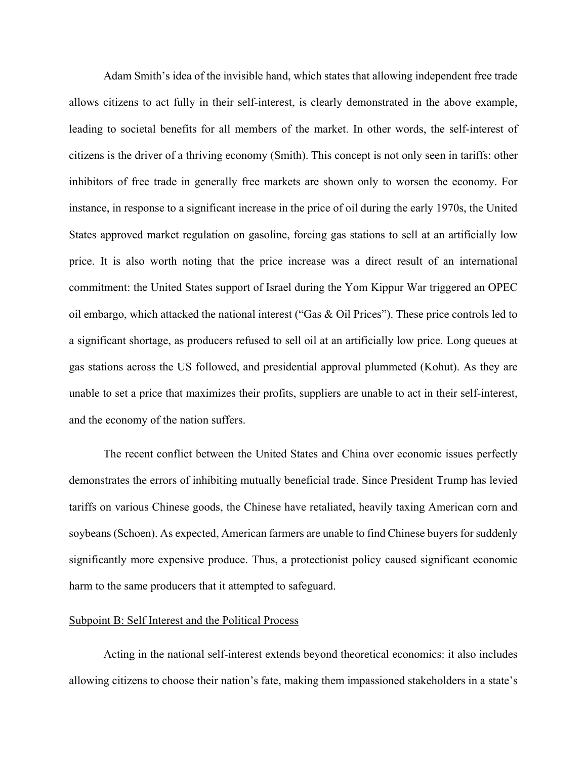Adam Smith's idea of the invisible hand, which states that allowing independent free trade allows citizens to act fully in their self-interest, is clearly demonstrated in the above example, leading to societal benefits for all members of the market. In other words, the self-interest of citizens is the driver of a thriving economy (Smith). This concept is not only seen in tariffs: other inhibitors of free trade in generally free markets are shown only to worsen the economy. For instance, in response to a significant increase in the price of oil during the early 1970s, the United States approved market regulation on gasoline, forcing gas stations to sell at an artificially low price. It is also worth noting that the price increase was a direct result of an international commitment: the United States support of Israel during the Yom Kippur War triggered an OPEC oil embargo, which attacked the national interest ("Gas & Oil Prices"). These price controls led to a significant shortage, as producers refused to sell oil at an artificially low price. Long queues at gas stations across the US followed, and presidential approval plummeted (Kohut). As they are unable to set a price that maximizes their profits, suppliers are unable to act in their self-interest, and the economy of the nation suffers.

The recent conflict between the United States and China over economic issues perfectly demonstrates the errors of inhibiting mutually beneficial trade. Since President Trump has levied tariffs on various Chinese goods, the Chinese have retaliated, heavily taxing American corn and soybeans (Schoen). As expected, American farmers are unable to find Chinese buyers for suddenly significantly more expensive produce. Thus, a protectionist policy caused significant economic harm to the same producers that it attempted to safeguard.

#### Subpoint B: Self Interest and the Political Process

Acting in the national self-interest extends beyond theoretical economics: it also includes allowing citizens to choose their nation's fate, making them impassioned stakeholders in a state's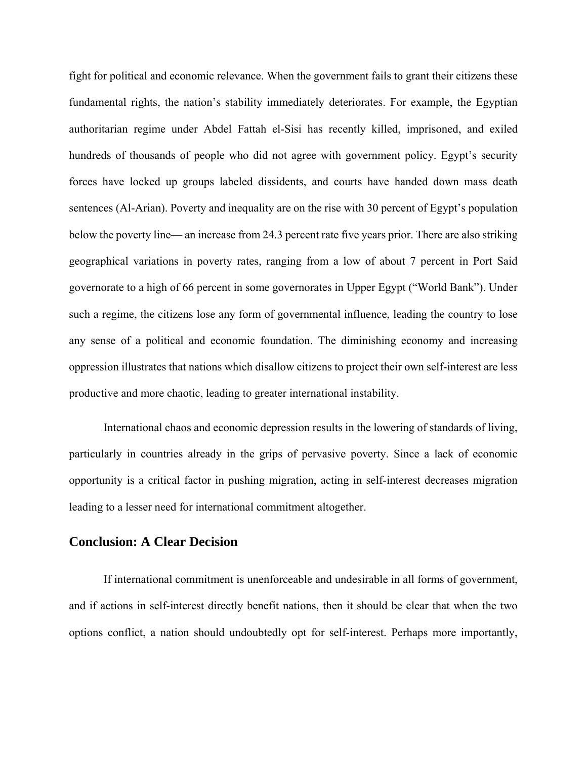fight for political and economic relevance. When the government fails to grant their citizens these fundamental rights, the nation's stability immediately deteriorates. For example, the Egyptian authoritarian regime under Abdel Fattah el-Sisi has recently killed, imprisoned, and exiled hundreds of thousands of people who did not agree with government policy. Egypt's security forces have locked up groups labeled dissidents, and courts have handed down mass death sentences (Al-Arian). Poverty and inequality are on the rise with 30 percent of Egypt's population below the poverty line— an increase from 24.3 percent rate five years prior. There are also striking geographical variations in poverty rates, ranging from a low of about 7 percent in Port Said governorate to a high of 66 percent in some governorates in Upper Egypt ("World Bank"). Under such a regime, the citizens lose any form of governmental influence, leading the country to lose any sense of a political and economic foundation. The diminishing economy and increasing oppression illustrates that nations which disallow citizens to project their own self-interest are less productive and more chaotic, leading to greater international instability.

International chaos and economic depression results in the lowering of standards of living, particularly in countries already in the grips of pervasive poverty. Since a lack of economic opportunity is a critical factor in pushing migration, acting in self-interest decreases migration leading to a lesser need for international commitment altogether.

## **Conclusion: A Clear Decision**

If international commitment is unenforceable and undesirable in all forms of government, and if actions in self-interest directly benefit nations, then it should be clear that when the two options conflict, a nation should undoubtedly opt for self-interest. Perhaps more importantly,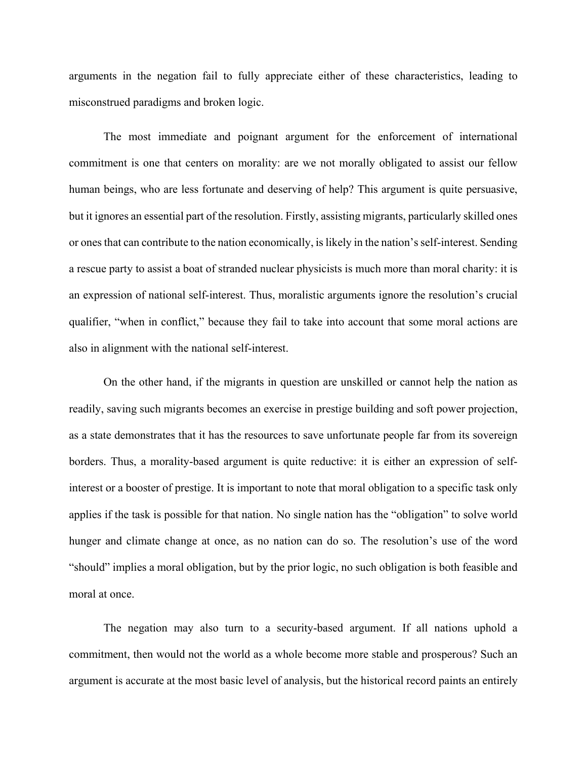arguments in the negation fail to fully appreciate either of these characteristics, leading to misconstrued paradigms and broken logic.

The most immediate and poignant argument for the enforcement of international commitment is one that centers on morality: are we not morally obligated to assist our fellow human beings, who are less fortunate and deserving of help? This argument is quite persuasive, but it ignores an essential part of the resolution. Firstly, assisting migrants, particularly skilled ones or ones that can contribute to the nation economically, is likely in the nation's self-interest. Sending a rescue party to assist a boat of stranded nuclear physicists is much more than moral charity: it is an expression of national self-interest. Thus, moralistic arguments ignore the resolution's crucial qualifier, "when in conflict," because they fail to take into account that some moral actions are also in alignment with the national self-interest.

On the other hand, if the migrants in question are unskilled or cannot help the nation as readily, saving such migrants becomes an exercise in prestige building and soft power projection, as a state demonstrates that it has the resources to save unfortunate people far from its sovereign borders. Thus, a morality-based argument is quite reductive: it is either an expression of selfinterest or a booster of prestige. It is important to note that moral obligation to a specific task only applies if the task is possible for that nation. No single nation has the "obligation" to solve world hunger and climate change at once, as no nation can do so. The resolution's use of the word "should" implies a moral obligation, but by the prior logic, no such obligation is both feasible and moral at once.

The negation may also turn to a security-based argument. If all nations uphold a commitment, then would not the world as a whole become more stable and prosperous? Such an argument is accurate at the most basic level of analysis, but the historical record paints an entirely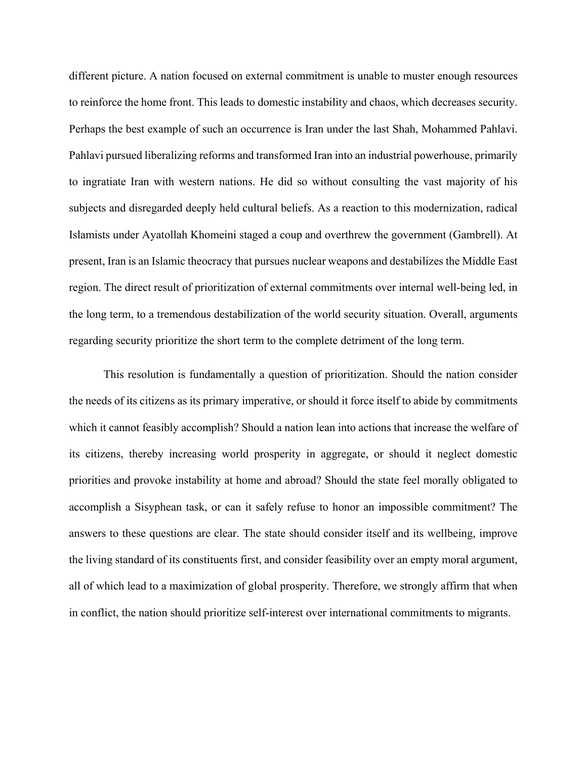different picture. A nation focused on external commitment is unable to muster enough resources to reinforce the home front. This leads to domestic instability and chaos, which decreases security. Perhaps the best example of such an occurrence is Iran under the last Shah, Mohammed Pahlavi. Pahlavi pursued liberalizing reforms and transformed Iran into an industrial powerhouse, primarily to ingratiate Iran with western nations. He did so without consulting the vast majority of his subjects and disregarded deeply held cultural beliefs. As a reaction to this modernization, radical Islamists under Ayatollah Khomeini staged a coup and overthrew the government (Gambrell). At present, Iran is an Islamic theocracy that pursues nuclear weapons and destabilizes the Middle East region. The direct result of prioritization of external commitments over internal well-being led, in the long term, to a tremendous destabilization of the world security situation. Overall, arguments regarding security prioritize the short term to the complete detriment of the long term.

This resolution is fundamentally a question of prioritization. Should the nation consider the needs of its citizens as its primary imperative, or should it force itself to abide by commitments which it cannot feasibly accomplish? Should a nation lean into actions that increase the welfare of its citizens, thereby increasing world prosperity in aggregate, or should it neglect domestic priorities and provoke instability at home and abroad? Should the state feel morally obligated to accomplish a Sisyphean task, or can it safely refuse to honor an impossible commitment? The answers to these questions are clear. The state should consider itself and its wellbeing, improve the living standard of its constituents first, and consider feasibility over an empty moral argument, all of which lead to a maximization of global prosperity. Therefore, we strongly affirm that when in conflict, the nation should prioritize self-interest over international commitments to migrants.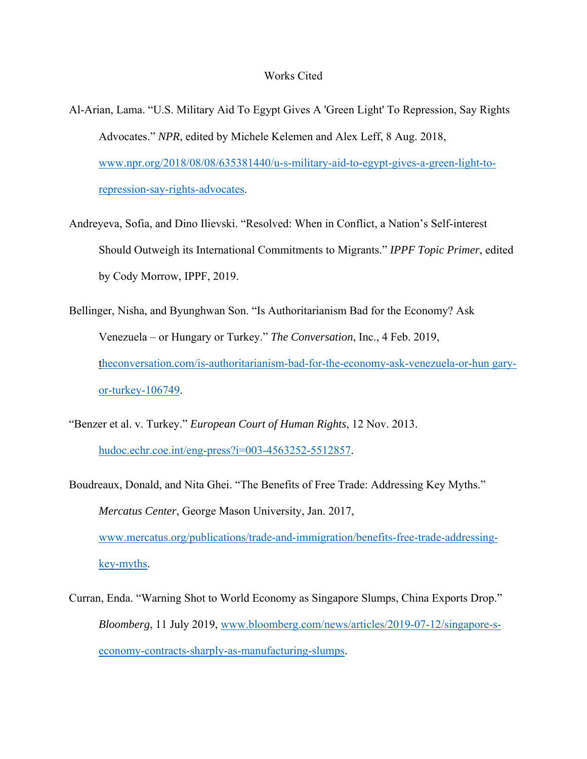- Al-Arian, Lama. "U.S. Military Aid To Egypt Gives A 'Green Light' To Repression, Say Rights Advocates." *NPR*, edited by Michele Kelemen and Alex Leff, 8 Aug. 2018, www.npr.org/2018/08/08/635381440/u-s-military-aid-to-egypt-gives-a-green-light-torepression-say-rights-advocates.
- Andreyeva, Sofia, and Dino Ilievski. "Resolved: When in Conflict, a Nation's Self-interest Should Outweigh its International Commitments to Migrants." *IPPF Topic Primer*, edited by Cody Morrow, IPPF, 2019.
- Bellinger, Nisha, and Byunghwan Son. "Is Authoritarianism Bad for the Economy? Ask Venezuela – or Hungary or Turkey." *The Conversation*, Inc., 4 Feb. 2019, theconversation.com/is-authoritarianism-bad-for-the-economy-ask-venezuela-or-hun garyor-turkey-106749.
- "Benzer et al. v. Turkey." *European Court of Human Rights*, 12 Nov. 2013. hudoc.echr.coe.int/eng-press?i=003-4563252-5512857.
- Boudreaux, Donald, and Nita Ghei. "The Benefits of Free Trade: Addressing Key Myths." *Mercatus Center*, George Mason University, Jan. 2017, www.mercatus.org/publications/trade-and-immigration/benefits-free-trade-addressingkey-myths.
- Curran, Enda. "Warning Shot to World Economy as Singapore Slumps, China Exports Drop." *Bloomberg*, 11 July 2019, www.bloomberg.com/news/articles/2019-07-12/singapore-seconomy-contracts-sharply-as-manufacturing-slumps.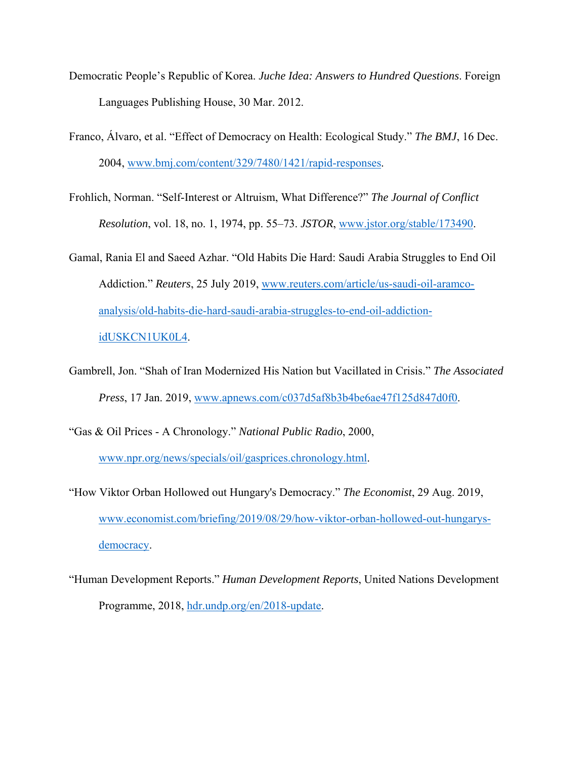- Democratic People's Republic of Korea. *Juche Idea: Answers to Hundred Questions*. Foreign Languages Publishing House, 30 Mar. 2012.
- Franco, Álvaro, et al. "Effect of Democracy on Health: Ecological Study." *The BMJ*, 16 Dec. 2004, www.bmj.com/content/329/7480/1421/rapid-responses.
- Frohlich, Norman. "Self-Interest or Altruism, What Difference?" *The Journal of Conflict Resolution*, vol. 18, no. 1, 1974, pp. 55–73. *JSTOR*, www.jstor.org/stable/173490.
- Gamal, Rania El and Saeed Azhar. "Old Habits Die Hard: Saudi Arabia Struggles to End Oil Addiction." *Reuters*, 25 July 2019, www.reuters.com/article/us-saudi-oil-aramcoanalysis/old-habits-die-hard-saudi-arabia-struggles-to-end-oil-addictionidUSKCN1UK0L4.
- Gambrell, Jon. "Shah of Iran Modernized His Nation but Vacillated in Crisis." *The Associated Press*, 17 Jan. 2019, www.apnews.com/c037d5af8b3b4be6ae47f125d847d0f0.
- "Gas & Oil Prices A Chronology." *National Public Radio*, 2000, www.npr.org/news/specials/oil/gasprices.chronology.html.
- "How Viktor Orban Hollowed out Hungary's Democracy." *The Economist*, 29 Aug. 2019, www.economist.com/briefing/2019/08/29/how-viktor-orban-hollowed-out-hungarysdemocracy.
- "Human Development Reports." *Human Development Reports*, United Nations Development Programme, 2018, hdr.undp.org/en/2018-update.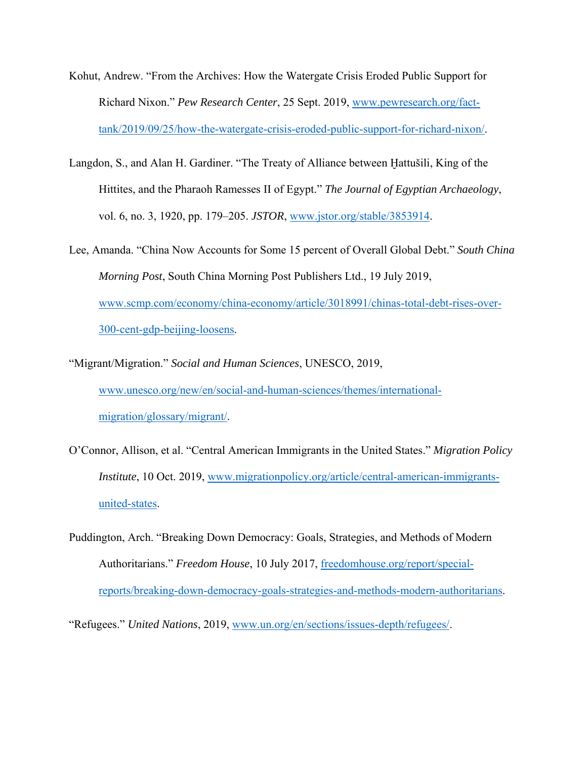- Kohut, Andrew. "From the Archives: How the Watergate Crisis Eroded Public Support for Richard Nixon." *Pew Research Center*, 25 Sept. 2019, www.pewresearch.org/facttank/2019/09/25/how-the-watergate-crisis-eroded-public-support-for-richard-nixon/.
- Langdon, S., and Alan H. Gardiner. "The Treaty of Alliance between Ḫattušili, King of the Hittites, and the Pharaoh Ramesses II of Egypt." *The Journal of Egyptian Archaeology*, vol. 6, no. 3, 1920, pp. 179–205. *JSTOR*, www.jstor.org/stable/3853914.
- Lee, Amanda. "China Now Accounts for Some 15 percent of Overall Global Debt." *South China Morning Post*, South China Morning Post Publishers Ltd., 19 July 2019, www.scmp.com/economy/china-economy/article/3018991/chinas-total-debt-rises-over-300-cent-gdp-beijing-loosens.
- "Migrant/Migration." *Social and Human Sciences*, UNESCO, 2019, www.unesco.org/new/en/social-and-human-sciences/themes/internationalmigration/glossary/migrant/.
- O'Connor, Allison, et al. "Central American Immigrants in the United States." *Migration Policy Institute*, 10 Oct. 2019, www.migrationpolicy.org/article/central-american-immigrantsunited-states.
- Puddington, Arch. "Breaking Down Democracy: Goals, Strategies, and Methods of Modern Authoritarians." *Freedom House*, 10 July 2017, freedomhouse.org/report/specialreports/breaking-down-democracy-goals-strategies-and-methods-modern-authoritarians.

"Refugees." *United Nations*, 2019, www.un.org/en/sections/issues-depth/refugees/.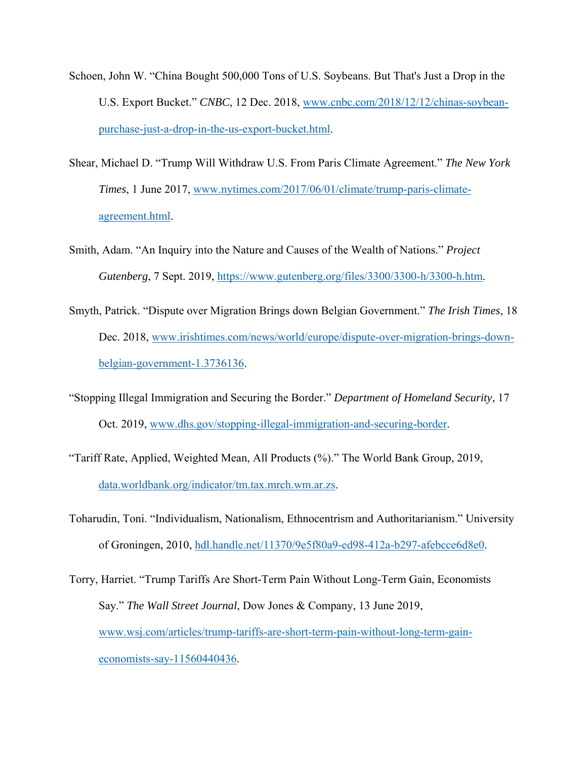- Schoen, John W. "China Bought 500,000 Tons of U.S. Soybeans. But That's Just a Drop in the U.S. Export Bucket." *CNBC*, 12 Dec. 2018, www.cnbc.com/2018/12/12/chinas-soybeanpurchase-just-a-drop-in-the-us-export-bucket.html.
- Shear, Michael D. "Trump Will Withdraw U.S. From Paris Climate Agreement." *The New York Times*, 1 June 2017, www.nytimes.com/2017/06/01/climate/trump-paris-climateagreement.html.
- Smith, Adam. "An Inquiry into the Nature and Causes of the Wealth of Nations." *Project Gutenberg*, 7 Sept. 2019, https://www.gutenberg.org/files/3300/3300-h/3300-h.htm.
- Smyth, Patrick. "Dispute over Migration Brings down Belgian Government." *The Irish Times*, 18 Dec. 2018, www.irishtimes.com/news/world/europe/dispute-over-migration-brings-downbelgian-government-1.3736136.
- "Stopping Illegal Immigration and Securing the Border." *Department of Homeland Security*, 17 Oct. 2019, www.dhs.gov/stopping-illegal-immigration-and-securing-border.
- "Tariff Rate, Applied, Weighted Mean, All Products (%)." The World Bank Group, 2019, data.worldbank.org/indicator/tm.tax.mrch.wm.ar.zs.
- Toharudin, Toni. "Individualism, Nationalism, Ethnocentrism and Authoritarianism." University of Groningen, 2010, hdl.handle.net/11370/9e5f80a9-ed98-412a-b297-afebcce6d8e0.

Torry, Harriet. "Trump Tariffs Are Short-Term Pain Without Long-Term Gain, Economists Say." *The Wall Street Journal*, Dow Jones & Company, 13 June 2019, www.wsj.com/articles/trump-tariffs-are-short-term-pain-without-long-term-gaineconomists-say-11560440436.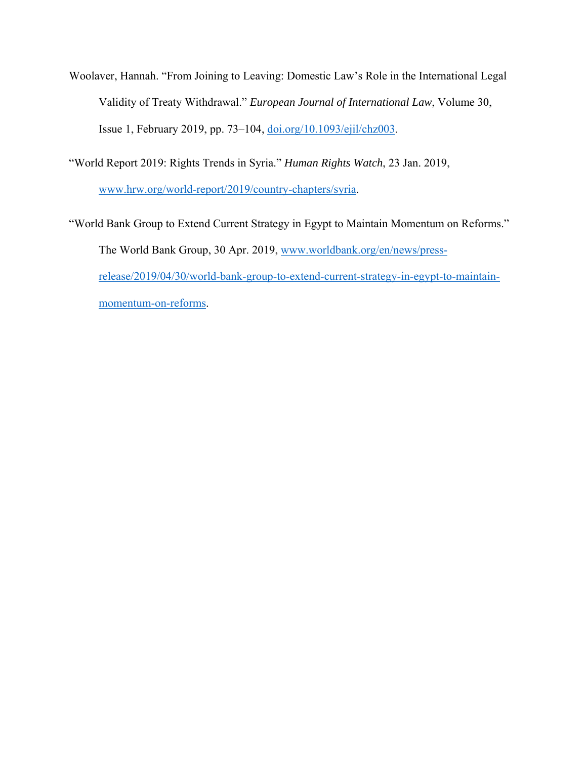Woolaver, Hannah. "From Joining to Leaving: Domestic Law's Role in the International Legal Validity of Treaty Withdrawal." *European Journal of International Law*, Volume 30, Issue 1, February 2019, pp. 73–104, doi.org/10.1093/ejil/chz003.

"World Report 2019: Rights Trends in Syria." *Human Rights Watch*, 23 Jan. 2019,

www.hrw.org/world-report/2019/country-chapters/syria.

"World Bank Group to Extend Current Strategy in Egypt to Maintain Momentum on Reforms." The World Bank Group, 30 Apr. 2019, www.worldbank.org/en/news/pressrelease/2019/04/30/world-bank-group-to-extend-current-strategy-in-egypt-to-maintainmomentum-on-reforms.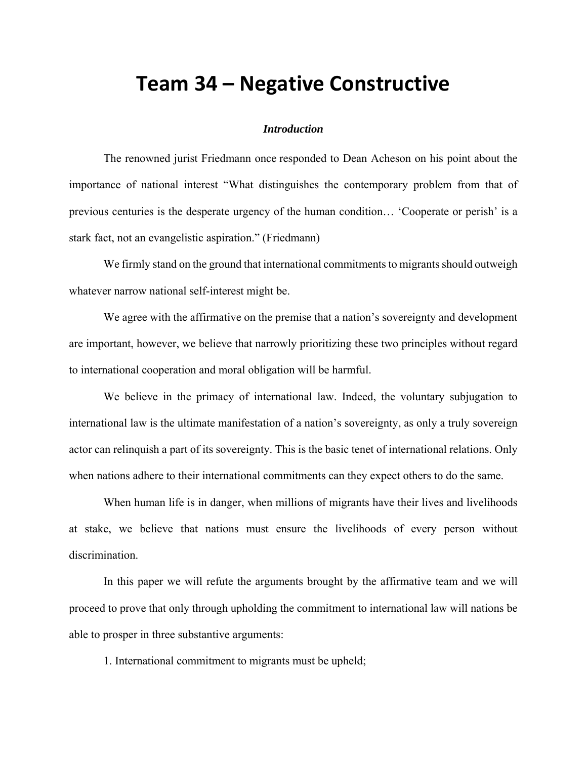# **Team 34 – Negative Constructive**

#### *Introduction*

The renowned jurist Friedmann once responded to Dean Acheson on his point about the importance of national interest "What distinguishes the contemporary problem from that of previous centuries is the desperate urgency of the human condition… 'Cooperate or perish' is a stark fact, not an evangelistic aspiration." (Friedmann)

We firmly stand on the ground that international commitments to migrants should outweigh whatever narrow national self-interest might be.

We agree with the affirmative on the premise that a nation's sovereignty and development are important, however, we believe that narrowly prioritizing these two principles without regard to international cooperation and moral obligation will be harmful.

We believe in the primacy of international law. Indeed, the voluntary subjugation to international law is the ultimate manifestation of a nation's sovereignty, as only a truly sovereign actor can relinquish a part of its sovereignty. This is the basic tenet of international relations. Only when nations adhere to their international commitments can they expect others to do the same.

When human life is in danger, when millions of migrants have their lives and livelihoods at stake, we believe that nations must ensure the livelihoods of every person without discrimination.

In this paper we will refute the arguments brought by the affirmative team and we will proceed to prove that only through upholding the commitment to international law will nations be able to prosper in three substantive arguments:

1. International commitment to migrants must be upheld;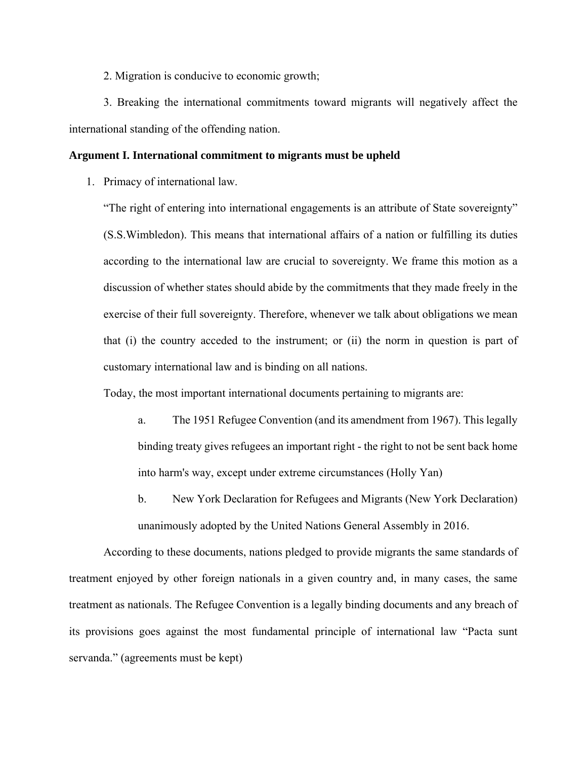2. Migration is conducive to economic growth;

3. Breaking the international commitments toward migrants will negatively affect the international standing of the offending nation.

#### **Argument I. International commitment to migrants must be upheld**

1. Primacy of international law.

"The right of entering into international engagements is an attribute of State sovereignty" (S.S.Wimbledon). This means that international affairs of a nation or fulfilling its duties according to the international law are crucial to sovereignty. We frame this motion as a discussion of whether states should abide by the commitments that they made freely in the exercise of their full sovereignty. Therefore, whenever we talk about obligations we mean that (i) the country acceded to the instrument; or (ii) the norm in question is part of customary international law and is binding on all nations.

Today, the most important international documents pertaining to migrants are:

- a. The 1951 Refugee Convention (and its amendment from 1967). This legally binding treaty gives refugees an important right - the right to not be sent back home into harm's way, except under extreme circumstances (Holly Yan)
- b. New York Declaration for Refugees and Migrants (New York Declaration) unanimously adopted by the United Nations General Assembly in 2016.

According to these documents, nations pledged to provide migrants the same standards of treatment enjoyed by other foreign nationals in a given country and, in many cases, the same treatment as nationals. The Refugee Convention is a legally binding documents and any breach of its provisions goes against the most fundamental principle of international law "Pacta sunt servanda." (agreements must be kept)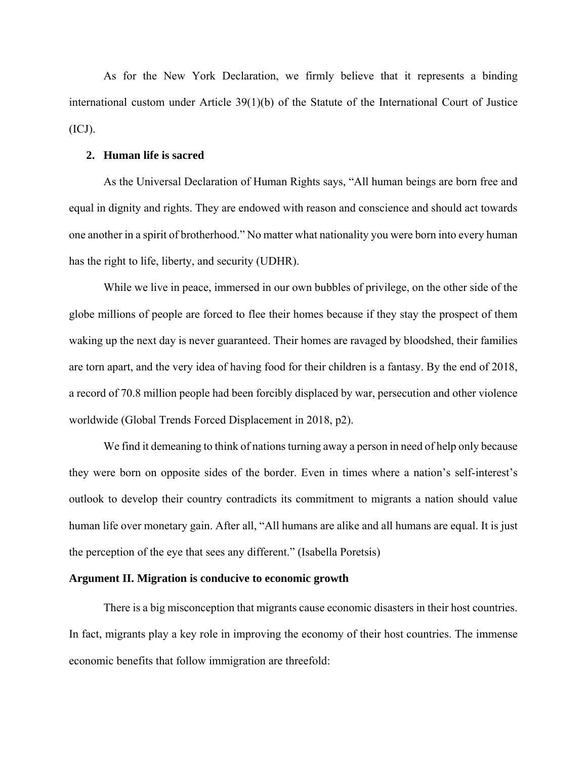As for the New York Declaration, we firmly believe that it represents a binding international custom under Article 39(1)(b) of the Statute of the International Court of Justice  $(ICJ).$ 

#### **2. Human life is sacred**

As the Universal Declaration of Human Rights says, "All human beings are born free and equal in dignity and rights. They are endowed with reason and conscience and should act towards one another in a spirit of brotherhood." No matter what nationality you were born into every human has the right to life, liberty, and security (UDHR).

While we live in peace, immersed in our own bubbles of privilege, on the other side of the globe millions of people are forced to flee their homes because if they stay the prospect of them waking up the next day is never guaranteed. Their homes are ravaged by bloodshed, their families are torn apart, and the very idea of having food for their children is a fantasy. By the end of 2018, a record of 70.8 million people had been forcibly displaced by war, persecution and other violence worldwide (Global Trends Forced Displacement in 2018, p2).

We find it demeaning to think of nations turning away a person in need of help only because they were born on opposite sides of the border. Even in times where a nation's self-interest's outlook to develop their country contradicts its commitment to migrants a nation should value human life over monetary gain. After all, "All humans are alike and all humans are equal. It is just the perception of the eye that sees any different." (Isabella Poretsis)

#### **Argument II. Migration is conducive to economic growth**

There is a big misconception that migrants cause economic disasters in their host countries. In fact, migrants play a key role in improving the economy of their host countries. The immense economic benefits that follow immigration are threefold: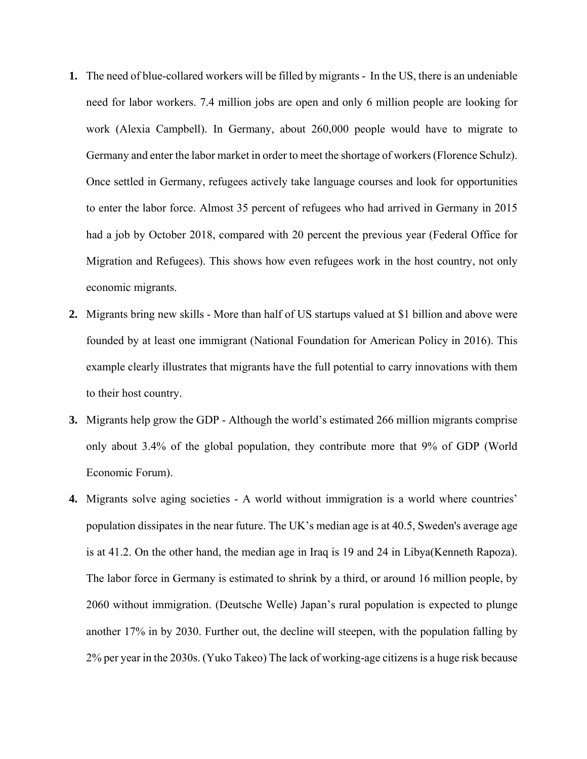- **1.** The need of blue-collared workers will be filled by migrants In the US, there is an undeniable need for labor workers. 7.4 million jobs are open and only 6 million people are looking for work (Alexia Campbell). In Germany, about 260,000 people would have to migrate to Germany and enter the labor market in order to meet the shortage of workers (Florence Schulz). Once settled in Germany, refugees actively take language courses and look for opportunities to enter the labor force. Almost 35 percent of refugees who had arrived in Germany in 2015 had a job by October 2018, compared with 20 percent the previous year (Federal Office for Migration and Refugees). This shows how even refugees work in the host country, not only economic migrants.
- **2.** Migrants bring new skills More than half of US startups valued at \$1 billion and above were founded by at least one immigrant (National Foundation for American Policy in 2016). This example clearly illustrates that migrants have the full potential to carry innovations with them to their host country.
- **3.** Migrants help grow the GDP Although the world's estimated 266 million migrants comprise only about 3.4% of the global population, they contribute more that 9% of GDP (World Economic Forum).
- **4.** Migrants solve aging societies A world without immigration is a world where countries' population dissipates in the near future. The UK's median age is at 40.5, Sweden's average age is at 41.2. On the other hand, the median age in Iraq is 19 and 24 in Libya(Kenneth Rapoza). The labor force in Germany is estimated to shrink by a third, or around 16 million people, by 2060 without immigration. (Deutsche Welle) Japan's rural population is expected to plunge another 17% in by 2030. Further out, the decline will steepen, with the population falling by 2% per year in the 2030s. (Yuko Takeo) The lack of working-age citizens is a huge risk because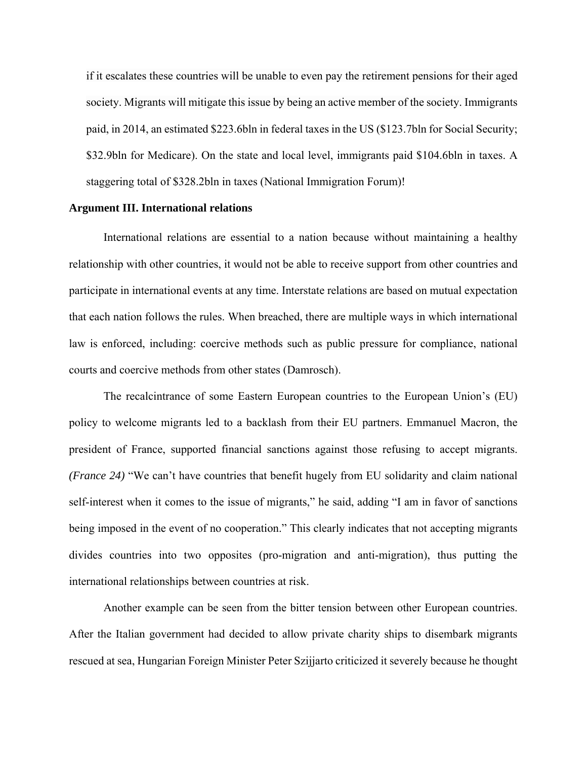if it escalates these countries will be unable to even pay the retirement pensions for their aged society. Migrants will mitigate this issue by being an active member of the society. Immigrants paid, in 2014, an estimated \$223.6bln in federal taxes in the US (\$123.7bln for Social Security; \$32.9bln for Medicare). On the state and local level, immigrants paid \$104.6bln in taxes. A staggering total of \$328.2bln in taxes (National Immigration Forum)!

#### **Argument III. International relations**

International relations are essential to a nation because without maintaining a healthy relationship with other countries, it would not be able to receive support from other countries and participate in international events at any time. Interstate relations are based on mutual expectation that each nation follows the rules. When breached, there are multiple ways in which international law is enforced, including: coercive methods such as public pressure for compliance, national courts and coercive methods from other states (Damrosch).

The recalcintrance of some Eastern European countries to the European Union's (EU) policy to welcome migrants led to a backlash from their EU partners. Emmanuel Macron, the president of France, supported financial sanctions against those refusing to accept migrants. *(France 24)* "We can't have countries that benefit hugely from EU solidarity and claim national self-interest when it comes to the issue of migrants," he said, adding "I am in favor of sanctions being imposed in the event of no cooperation." This clearly indicates that not accepting migrants divides countries into two opposites (pro-migration and anti-migration), thus putting the international relationships between countries at risk.

Another example can be seen from the bitter tension between other European countries. After the Italian government had decided to allow private charity ships to disembark migrants rescued at sea, Hungarian Foreign Minister Peter Szijjarto criticized it severely because he thought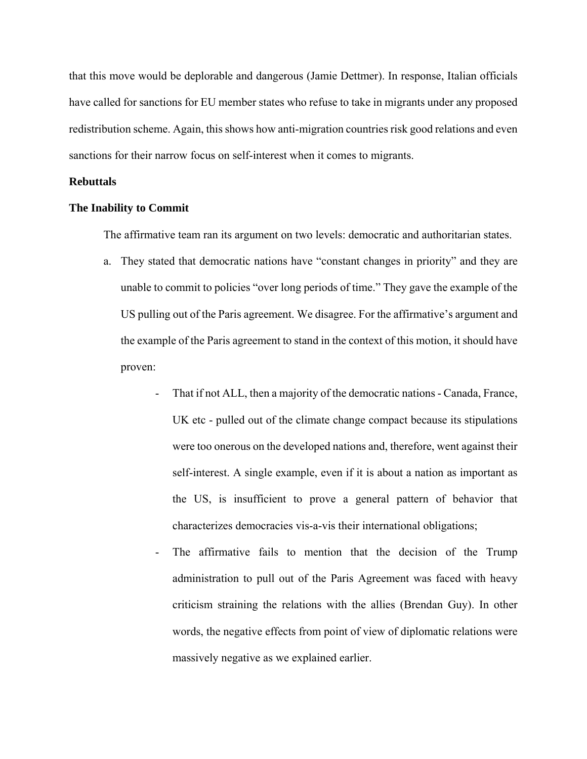that this move would be deplorable and dangerous (Jamie Dettmer). In response, Italian officials have called for sanctions for EU member states who refuse to take in migrants under any proposed redistribution scheme. Again, this shows how anti-migration countries risk good relations and even sanctions for their narrow focus on self-interest when it comes to migrants.

#### **Rebuttals**

#### **The Inability to Commit**

The affirmative team ran its argument on two levels: democratic and authoritarian states.

- a. They stated that democratic nations have "constant changes in priority" and they are unable to commit to policies "over long periods of time." They gave the example of the US pulling out of the Paris agreement. We disagree. For the affirmative's argument and the example of the Paris agreement to stand in the context of this motion, it should have proven:
	- That if not ALL, then a majority of the democratic nations Canada, France, UK etc - pulled out of the climate change compact because its stipulations were too onerous on the developed nations and, therefore, went against their self-interest. A single example, even if it is about a nation as important as the US, is insufficient to prove a general pattern of behavior that characterizes democracies vis-a-vis their international obligations;
	- The affirmative fails to mention that the decision of the Trump administration to pull out of the Paris Agreement was faced with heavy criticism straining the relations with the allies (Brendan Guy). In other words, the negative effects from point of view of diplomatic relations were massively negative as we explained earlier.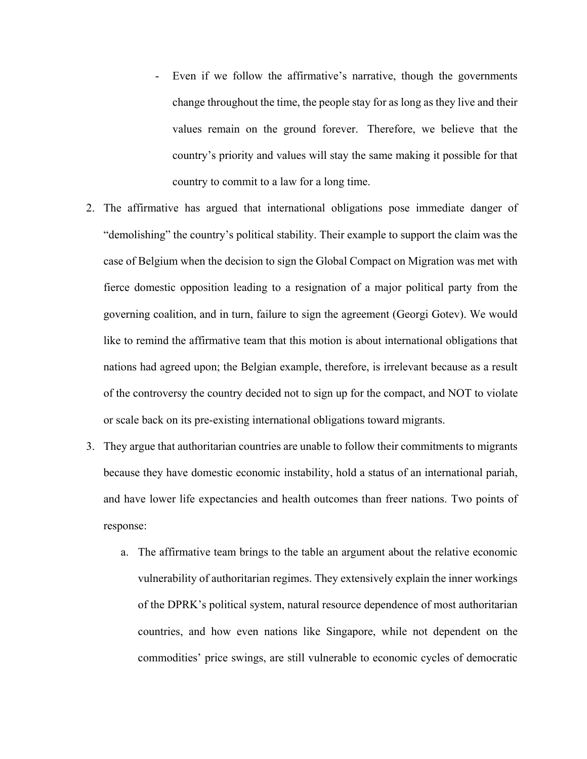- Even if we follow the affirmative's narrative, though the governments change throughout the time, the people stay for as long as they live and their values remain on the ground forever. Therefore, we believe that the country's priority and values will stay the same making it possible for that country to commit to a law for a long time.
- 2. The affirmative has argued that international obligations pose immediate danger of "demolishing" the country's political stability. Their example to support the claim was the case of Belgium when the decision to sign the Global Compact on Migration was met with fierce domestic opposition leading to a resignation of a major political party from the governing coalition, and in turn, failure to sign the agreement (Georgi Gotev). We would like to remind the affirmative team that this motion is about international obligations that nations had agreed upon; the Belgian example, therefore, is irrelevant because as a result of the controversy the country decided not to sign up for the compact, and NOT to violate or scale back on its pre-existing international obligations toward migrants.
- 3. They argue that authoritarian countries are unable to follow their commitments to migrants because they have domestic economic instability, hold a status of an international pariah, and have lower life expectancies and health outcomes than freer nations. Two points of response:
	- a. The affirmative team brings to the table an argument about the relative economic vulnerability of authoritarian regimes. They extensively explain the inner workings of the DPRK's political system, natural resource dependence of most authoritarian countries, and how even nations like Singapore, while not dependent on the commodities' price swings, are still vulnerable to economic cycles of democratic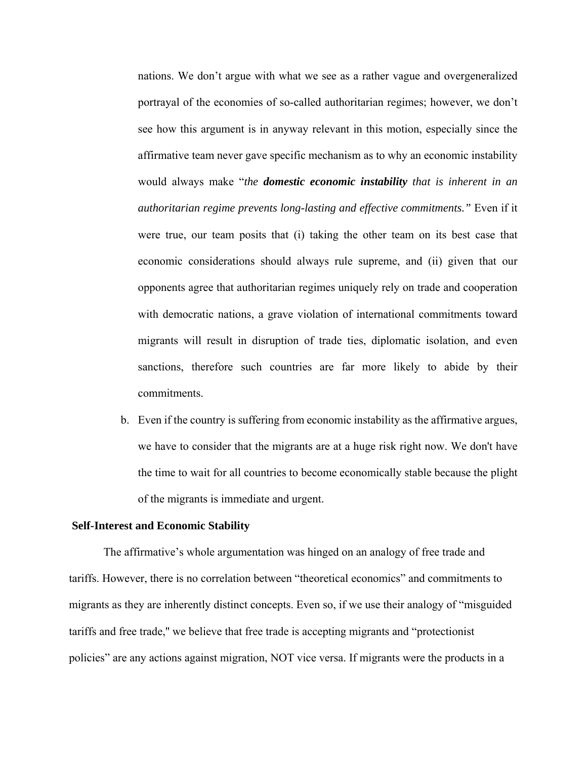nations. We don't argue with what we see as a rather vague and overgeneralized portrayal of the economies of so-called authoritarian regimes; however, we don't see how this argument is in anyway relevant in this motion, especially since the affirmative team never gave specific mechanism as to why an economic instability would always make "*the domestic economic instability that is inherent in an authoritarian regime prevents long-lasting and effective commitments."* Even if it were true, our team posits that (i) taking the other team on its best case that economic considerations should always rule supreme, and (ii) given that our opponents agree that authoritarian regimes uniquely rely on trade and cooperation with democratic nations, a grave violation of international commitments toward migrants will result in disruption of trade ties, diplomatic isolation, and even sanctions, therefore such countries are far more likely to abide by their commitments.

b. Even if the country is suffering from economic instability as the affirmative argues, we have to consider that the migrants are at a huge risk right now. We don't have the time to wait for all countries to become economically stable because the plight of the migrants is immediate and urgent.

#### **Self-Interest and Economic Stability**

The affirmative's whole argumentation was hinged on an analogy of free trade and tariffs. However, there is no correlation between "theoretical economics" and commitments to migrants as they are inherently distinct concepts. Even so, if we use their analogy of "misguided tariffs and free trade,'' we believe that free trade is accepting migrants and "protectionist policies" are any actions against migration, NOT vice versa. If migrants were the products in a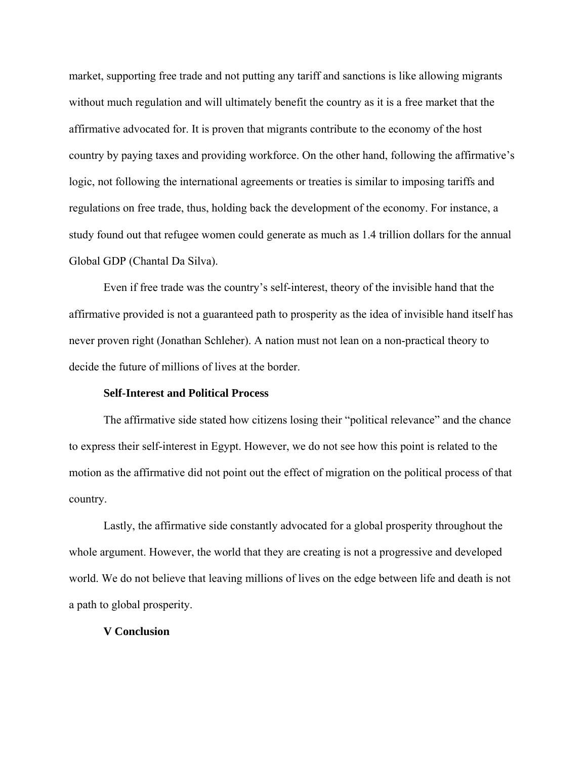market, supporting free trade and not putting any tariff and sanctions is like allowing migrants without much regulation and will ultimately benefit the country as it is a free market that the affirmative advocated for. It is proven that migrants contribute to the economy of the host country by paying taxes and providing workforce. On the other hand, following the affirmative's logic, not following the international agreements or treaties is similar to imposing tariffs and regulations on free trade, thus, holding back the development of the economy. For instance, a study found out that refugee women could generate as much as 1.4 trillion dollars for the annual Global GDP (Chantal Da Silva).

Even if free trade was the country's self-interest, theory of the invisible hand that the affirmative provided is not a guaranteed path to prosperity as the idea of invisible hand itself has never proven right (Jonathan Schleher). A nation must not lean on a non-practical theory to decide the future of millions of lives at the border.

#### **Self-Interest and Political Process**

The affirmative side stated how citizens losing their "political relevance" and the chance to express their self-interest in Egypt. However, we do not see how this point is related to the motion as the affirmative did not point out the effect of migration on the political process of that country.

Lastly, the affirmative side constantly advocated for a global prosperity throughout the whole argument. However, the world that they are creating is not a progressive and developed world. We do not believe that leaving millions of lives on the edge between life and death is not a path to global prosperity.

#### **V Conclusion**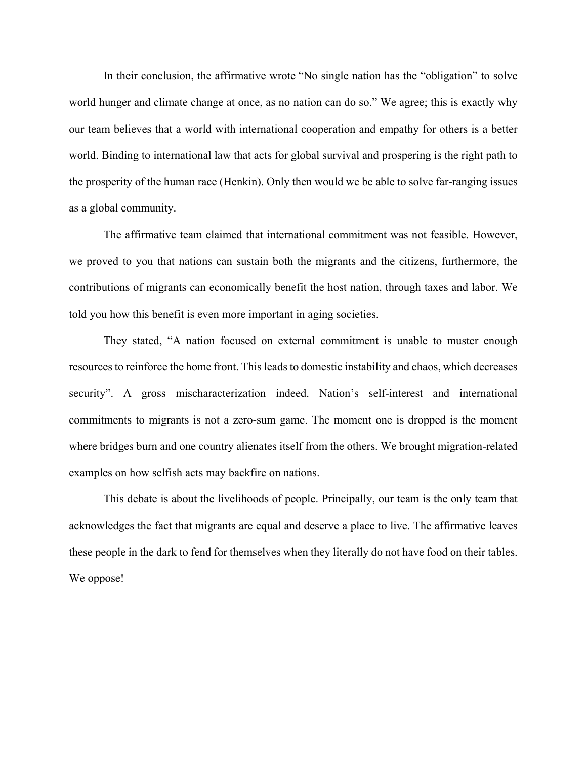In their conclusion, the affirmative wrote "No single nation has the "obligation" to solve world hunger and climate change at once, as no nation can do so." We agree; this is exactly why our team believes that a world with international cooperation and empathy for others is a better world. Binding to international law that acts for global survival and prospering is the right path to the prosperity of the human race (Henkin). Only then would we be able to solve far-ranging issues as a global community.

The affirmative team claimed that international commitment was not feasible. However, we proved to you that nations can sustain both the migrants and the citizens, furthermore, the contributions of migrants can economically benefit the host nation, through taxes and labor. We told you how this benefit is even more important in aging societies.

They stated, "A nation focused on external commitment is unable to muster enough resources to reinforce the home front. This leads to domestic instability and chaos, which decreases security". A gross mischaracterization indeed. Nation's self-interest and international commitments to migrants is not a zero-sum game. The moment one is dropped is the moment where bridges burn and one country alienates itself from the others. We brought migration-related examples on how selfish acts may backfire on nations.

This debate is about the livelihoods of people. Principally, our team is the only team that acknowledges the fact that migrants are equal and deserve a place to live. The affirmative leaves these people in the dark to fend for themselves when they literally do not have food on their tables. We oppose!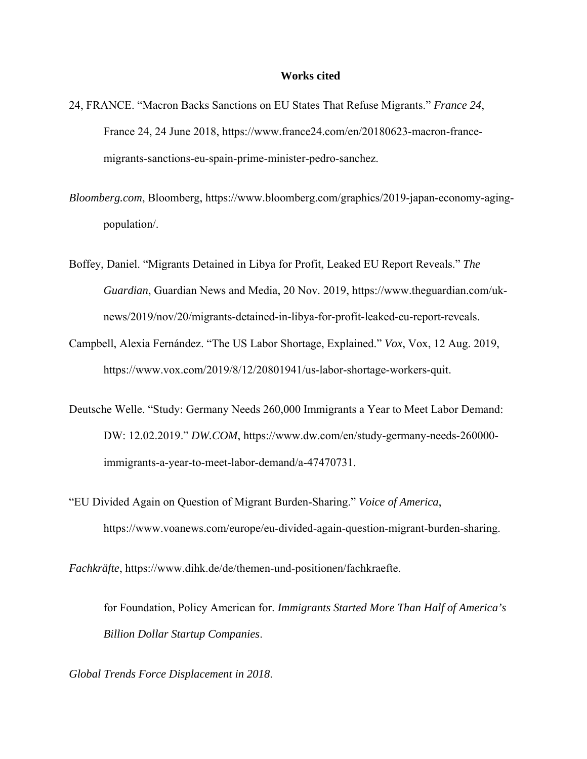#### **Works cited**

- 24, FRANCE. "Macron Backs Sanctions on EU States That Refuse Migrants." *France 24*, France 24, 24 June 2018, https://www.france24.com/en/20180623-macron-francemigrants-sanctions-eu-spain-prime-minister-pedro-sanchez.
- *Bloomberg.com*, Bloomberg, https://www.bloomberg.com/graphics/2019-japan-economy-agingpopulation/.
- Boffey, Daniel. "Migrants Detained in Libya for Profit, Leaked EU Report Reveals." *The Guardian*, Guardian News and Media, 20 Nov. 2019, https://www.theguardian.com/uknews/2019/nov/20/migrants-detained-in-libya-for-profit-leaked-eu-report-reveals.
- Campbell, Alexia Fernández. "The US Labor Shortage, Explained." *Vox*, Vox, 12 Aug. 2019, https://www.vox.com/2019/8/12/20801941/us-labor-shortage-workers-quit.
- Deutsche Welle. "Study: Germany Needs 260,000 Immigrants a Year to Meet Labor Demand: DW: 12.02.2019." *DW.COM*, https://www.dw.com/en/study-germany-needs-260000 immigrants-a-year-to-meet-labor-demand/a-47470731.
- "EU Divided Again on Question of Migrant Burden-Sharing." *Voice of America*, https://www.voanews.com/europe/eu-divided-again-question-migrant-burden-sharing.

*Fachkräfte*, https://www.dihk.de/de/themen-und-positionen/fachkraefte.

for Foundation, Policy American for. *Immigrants Started More Than Half of America's Billion Dollar Startup Companies*.

*Global Trends Force Displacement in 2018*.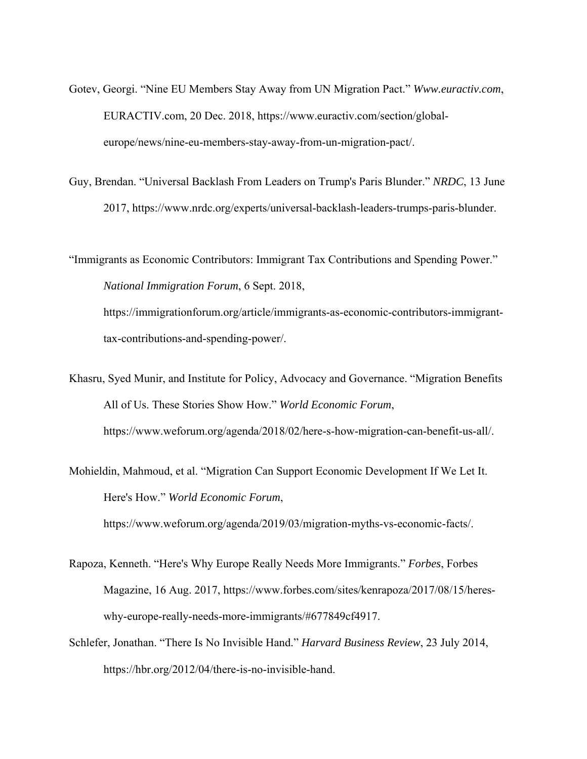- Gotev, Georgi. "Nine EU Members Stay Away from UN Migration Pact." *Www.euractiv.com*, EURACTIV.com, 20 Dec. 2018, https://www.euractiv.com/section/globaleurope/news/nine-eu-members-stay-away-from-un-migration-pact/.
- Guy, Brendan. "Universal Backlash From Leaders on Trump's Paris Blunder." *NRDC*, 13 June 2017, https://www.nrdc.org/experts/universal-backlash-leaders-trumps-paris-blunder.

"Immigrants as Economic Contributors: Immigrant Tax Contributions and Spending Power." *National Immigration Forum*, 6 Sept. 2018, https://immigrationforum.org/article/immigrants-as-economic-contributors-immigrant-

tax-contributions-and-spending-power/.

- Khasru, Syed Munir, and Institute for Policy, Advocacy and Governance. "Migration Benefits All of Us. These Stories Show How." *World Economic Forum*, https://www.weforum.org/agenda/2018/02/here-s-how-migration-can-benefit-us-all/.
- Mohieldin, Mahmoud, et al. "Migration Can Support Economic Development If We Let It. Here's How." *World Economic Forum*, https://www.weforum.org/agenda/2019/03/migration-myths-vs-economic-facts/.
- Rapoza, Kenneth. "Here's Why Europe Really Needs More Immigrants." *Forbes*, Forbes Magazine, 16 Aug. 2017, https://www.forbes.com/sites/kenrapoza/2017/08/15/hereswhy-europe-really-needs-more-immigrants/#677849cf4917.
- Schlefer, Jonathan. "There Is No Invisible Hand." *Harvard Business Review*, 23 July 2014, https://hbr.org/2012/04/there-is-no-invisible-hand.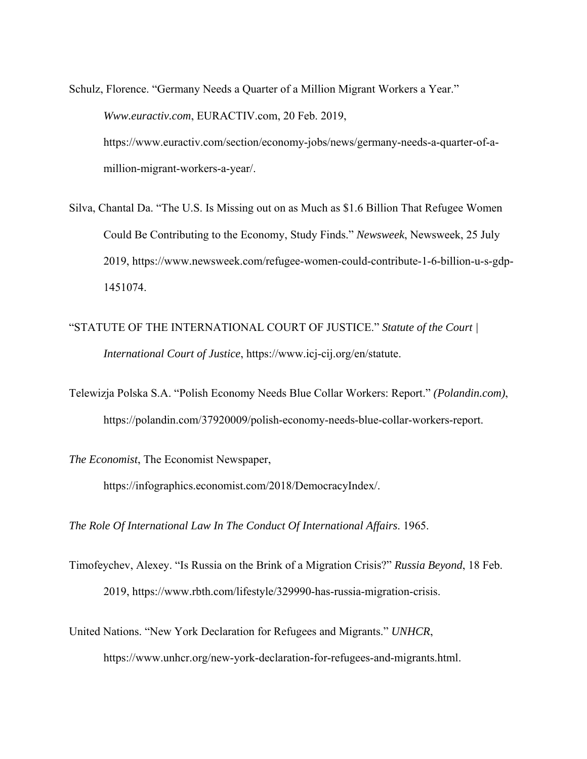Schulz, Florence. "Germany Needs a Quarter of a Million Migrant Workers a Year." *Www.euractiv.com*, EURACTIV.com, 20 Feb. 2019, https://www.euractiv.com/section/economy-jobs/news/germany-needs-a-quarter-of-amillion-migrant-workers-a-year/.

Silva, Chantal Da. "The U.S. Is Missing out on as Much as \$1.6 Billion That Refugee Women Could Be Contributing to the Economy, Study Finds." *Newsweek*, Newsweek, 25 July 2019, https://www.newsweek.com/refugee-women-could-contribute-1-6-billion-u-s-gdp-1451074.

"STATUTE OF THE INTERNATIONAL COURT OF JUSTICE." *Statute of the Court | International Court of Justice*, https://www.icj-cij.org/en/statute.

Telewizja Polska S.A. "Polish Economy Needs Blue Collar Workers: Report." *(Polandin.com)*, https://polandin.com/37920009/polish-economy-needs-blue-collar-workers-report.

*The Economist*, The Economist Newspaper,

https://infographics.economist.com/2018/DemocracyIndex/.

*The Role Of International Law In The Conduct Of International Affairs*. 1965.

Timofeychev, Alexey. "Is Russia on the Brink of a Migration Crisis?" *Russia Beyond*, 18 Feb. 2019, https://www.rbth.com/lifestyle/329990-has-russia-migration-crisis.

United Nations. "New York Declaration for Refugees and Migrants." *UNHCR*,

https://www.unhcr.org/new-york-declaration-for-refugees-and-migrants.html.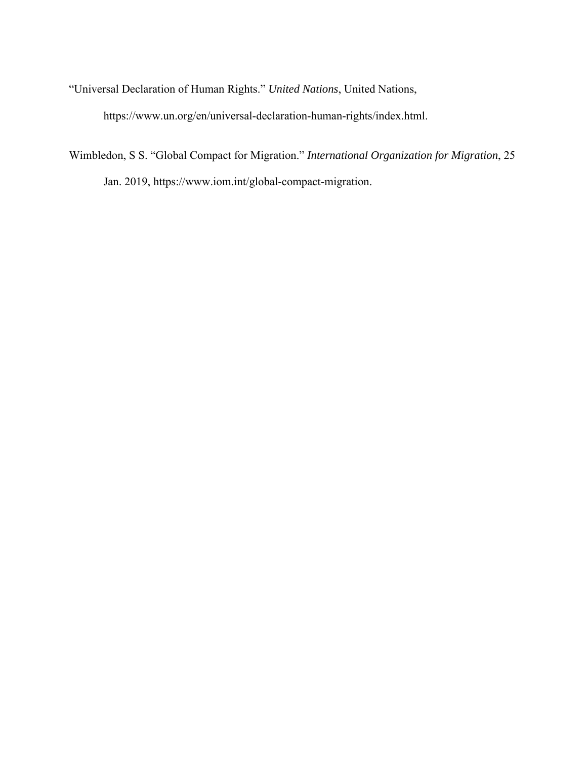"Universal Declaration of Human Rights." *United Nations*, United Nations,

https://www.un.org/en/universal-declaration-human-rights/index.html.

Wimbledon, S S. "Global Compact for Migration." *International Organization for Migration*, 25 Jan. 2019, https://www.iom.int/global-compact-migration.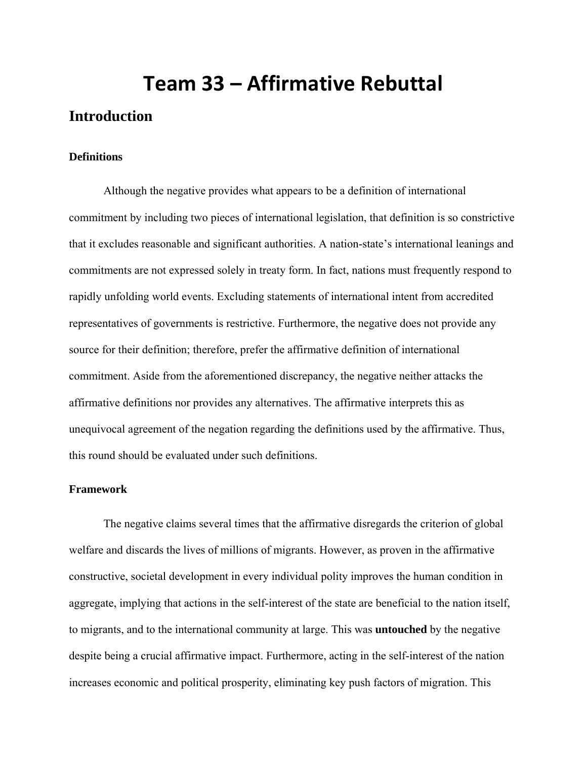# **Team 33 – Affirmative Rebuttal**

# **Introduction**

#### **Definitions**

Although the negative provides what appears to be a definition of international commitment by including two pieces of international legislation, that definition is so constrictive that it excludes reasonable and significant authorities. A nation-state's international leanings and commitments are not expressed solely in treaty form. In fact, nations must frequently respond to rapidly unfolding world events. Excluding statements of international intent from accredited representatives of governments is restrictive. Furthermore, the negative does not provide any source for their definition; therefore, prefer the affirmative definition of international commitment. Aside from the aforementioned discrepancy, the negative neither attacks the affirmative definitions nor provides any alternatives. The affirmative interprets this as unequivocal agreement of the negation regarding the definitions used by the affirmative. Thus, this round should be evaluated under such definitions.

#### **Framework**

The negative claims several times that the affirmative disregards the criterion of global welfare and discards the lives of millions of migrants. However, as proven in the affirmative constructive, societal development in every individual polity improves the human condition in aggregate, implying that actions in the self-interest of the state are beneficial to the nation itself, to migrants, and to the international community at large. This was **untouched** by the negative despite being a crucial affirmative impact. Furthermore, acting in the self-interest of the nation increases economic and political prosperity, eliminating key push factors of migration. This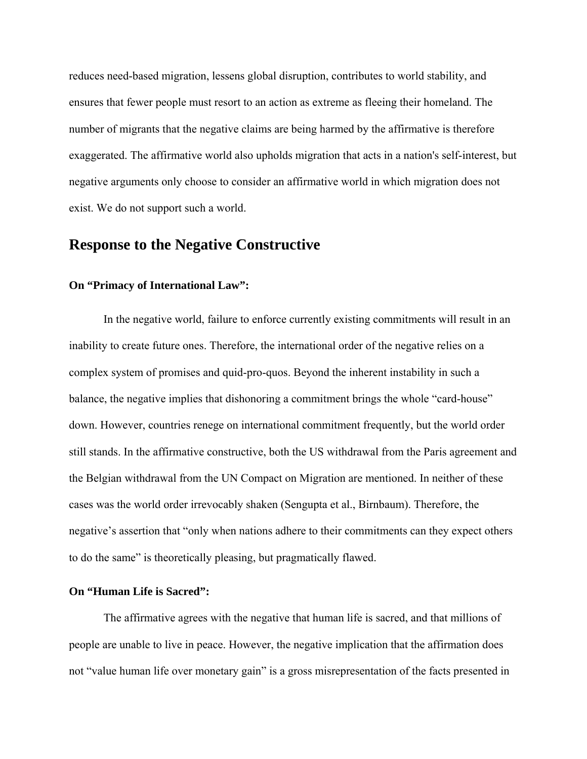reduces need-based migration, lessens global disruption, contributes to world stability, and ensures that fewer people must resort to an action as extreme as fleeing their homeland. The number of migrants that the negative claims are being harmed by the affirmative is therefore exaggerated. The affirmative world also upholds migration that acts in a nation's self-interest, but negative arguments only choose to consider an affirmative world in which migration does not exist. We do not support such a world.

# **Response to the Negative Constructive**

#### **On "Primacy of International Law":**

In the negative world, failure to enforce currently existing commitments will result in an inability to create future ones. Therefore, the international order of the negative relies on a complex system of promises and quid-pro-quos. Beyond the inherent instability in such a balance, the negative implies that dishonoring a commitment brings the whole "card-house" down. However, countries renege on international commitment frequently, but the world order still stands. In the affirmative constructive, both the US withdrawal from the Paris agreement and the Belgian withdrawal from the UN Compact on Migration are mentioned. In neither of these cases was the world order irrevocably shaken (Sengupta et al., Birnbaum). Therefore, the negative's assertion that "only when nations adhere to their commitments can they expect others to do the same" is theoretically pleasing, but pragmatically flawed.

#### **On "Human Life is Sacred":**

 The affirmative agrees with the negative that human life is sacred, and that millions of people are unable to live in peace. However, the negative implication that the affirmation does not "value human life over monetary gain" is a gross misrepresentation of the facts presented in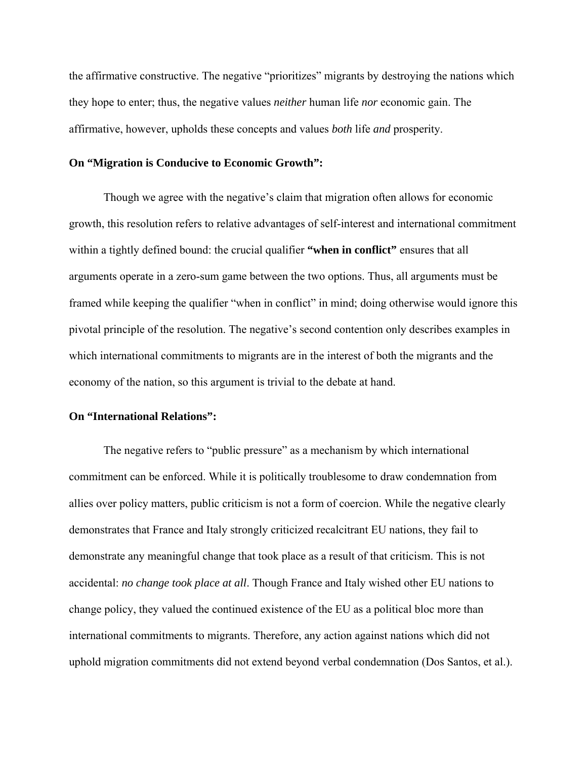the affirmative constructive. The negative "prioritizes" migrants by destroying the nations which they hope to enter; thus, the negative values *neither* human life *nor* economic gain. The affirmative, however, upholds these concepts and values *both* life *and* prosperity.

#### **On "Migration is Conducive to Economic Growth":**

Though we agree with the negative's claim that migration often allows for economic growth, this resolution refers to relative advantages of self-interest and international commitment within a tightly defined bound: the crucial qualifier **"when in conflict"** ensures that all arguments operate in a zero-sum game between the two options. Thus, all arguments must be framed while keeping the qualifier "when in conflict" in mind; doing otherwise would ignore this pivotal principle of the resolution. The negative's second contention only describes examples in which international commitments to migrants are in the interest of both the migrants and the economy of the nation, so this argument is trivial to the debate at hand.

#### **On "International Relations":**

The negative refers to "public pressure" as a mechanism by which international commitment can be enforced. While it is politically troublesome to draw condemnation from allies over policy matters, public criticism is not a form of coercion. While the negative clearly demonstrates that France and Italy strongly criticized recalcitrant EU nations, they fail to demonstrate any meaningful change that took place as a result of that criticism. This is not accidental: *no change took place at all*. Though France and Italy wished other EU nations to change policy, they valued the continued existence of the EU as a political bloc more than international commitments to migrants. Therefore, any action against nations which did not uphold migration commitments did not extend beyond verbal condemnation (Dos Santos, et al.).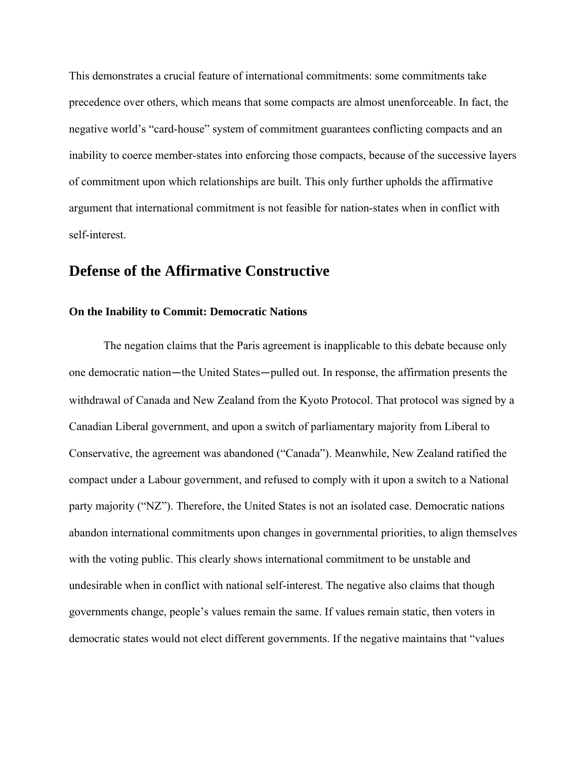This demonstrates a crucial feature of international commitments: some commitments take precedence over others, which means that some compacts are almost unenforceable. In fact, the negative world's "card-house" system of commitment guarantees conflicting compacts and an inability to coerce member-states into enforcing those compacts, because of the successive layers of commitment upon which relationships are built. This only further upholds the affirmative argument that international commitment is not feasible for nation-states when in conflict with self-interest.

# **Defense of the Affirmative Constructive**

#### **On the Inability to Commit: Democratic Nations**

The negation claims that the Paris agreement is inapplicable to this debate because only one democratic nation—the United States—pulled out. In response, the affirmation presents the withdrawal of Canada and New Zealand from the Kyoto Protocol. That protocol was signed by a Canadian Liberal government, and upon a switch of parliamentary majority from Liberal to Conservative, the agreement was abandoned ("Canada"). Meanwhile, New Zealand ratified the compact under a Labour government, and refused to comply with it upon a switch to a National party majority ("NZ"). Therefore, the United States is not an isolated case. Democratic nations abandon international commitments upon changes in governmental priorities, to align themselves with the voting public. This clearly shows international commitment to be unstable and undesirable when in conflict with national self-interest. The negative also claims that though governments change, people's values remain the same. If values remain static, then voters in democratic states would not elect different governments. If the negative maintains that "values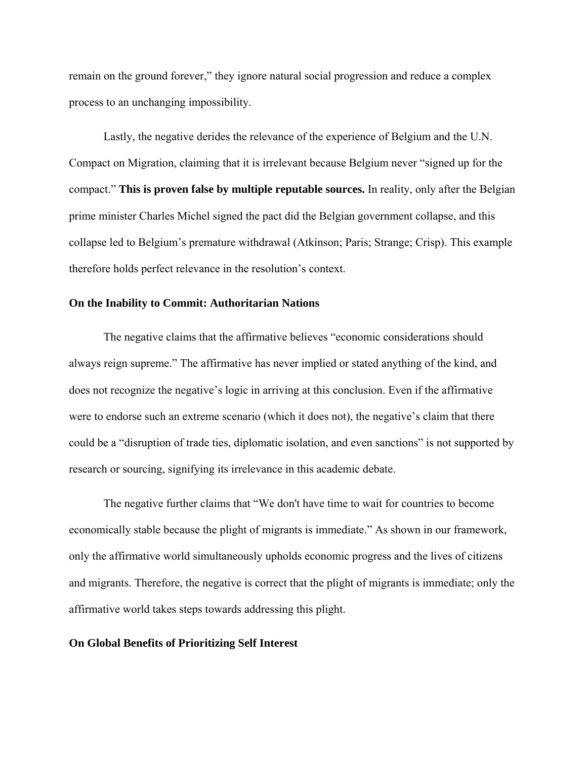remain on the ground forever," they ignore natural social progression and reduce a complex process to an unchanging impossibility.

Lastly, the negative derides the relevance of the experience of Belgium and the U.N. Compact on Migration, claiming that it is irrelevant because Belgium never "signed up for the compact." **This is proven false by multiple reputable sources.** In reality, only after the Belgian prime minister Charles Michel signed the pact did the Belgian government collapse, and this collapse led to Belgium's premature withdrawal (Atkinson; Paris; Strange; Crisp). This example therefore holds perfect relevance in the resolution's context.

#### **On the Inability to Commit: Authoritarian Nations**

The negative claims that the affirmative believes "economic considerations should always reign supreme." The affirmative has never implied or stated anything of the kind, and does not recognize the negative's logic in arriving at this conclusion. Even if the affirmative were to endorse such an extreme scenario (which it does not), the negative's claim that there could be a "disruption of trade ties, diplomatic isolation, and even sanctions" is not supported by research or sourcing, signifying its irrelevance in this academic debate.

The negative further claims that "We don't have time to wait for countries to become economically stable because the plight of migrants is immediate." As shown in our framework, only the affirmative world simultaneously upholds economic progress and the lives of citizens and migrants. Therefore, the negative is correct that the plight of migrants is immediate; only the affirmative world takes steps towards addressing this plight.

#### **On Global Benefits of Prioritizing Self Interest**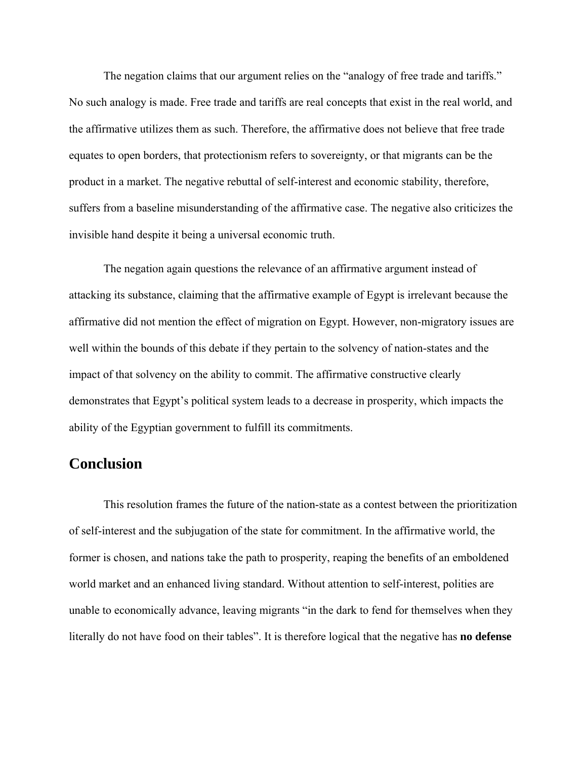The negation claims that our argument relies on the "analogy of free trade and tariffs." No such analogy is made. Free trade and tariffs are real concepts that exist in the real world, and the affirmative utilizes them as such. Therefore, the affirmative does not believe that free trade equates to open borders, that protectionism refers to sovereignty, or that migrants can be the product in a market. The negative rebuttal of self-interest and economic stability, therefore, suffers from a baseline misunderstanding of the affirmative case. The negative also criticizes the invisible hand despite it being a universal economic truth.

 The negation again questions the relevance of an affirmative argument instead of attacking its substance, claiming that the affirmative example of Egypt is irrelevant because the affirmative did not mention the effect of migration on Egypt. However, non-migratory issues are well within the bounds of this debate if they pertain to the solvency of nation-states and the impact of that solvency on the ability to commit. The affirmative constructive clearly demonstrates that Egypt's political system leads to a decrease in prosperity, which impacts the ability of the Egyptian government to fulfill its commitments.

# **Conclusion**

This resolution frames the future of the nation-state as a contest between the prioritization of self-interest and the subjugation of the state for commitment. In the affirmative world, the former is chosen, and nations take the path to prosperity, reaping the benefits of an emboldened world market and an enhanced living standard. Without attention to self-interest, polities are unable to economically advance, leaving migrants "in the dark to fend for themselves when they literally do not have food on their tables". It is therefore logical that the negative has **no defense**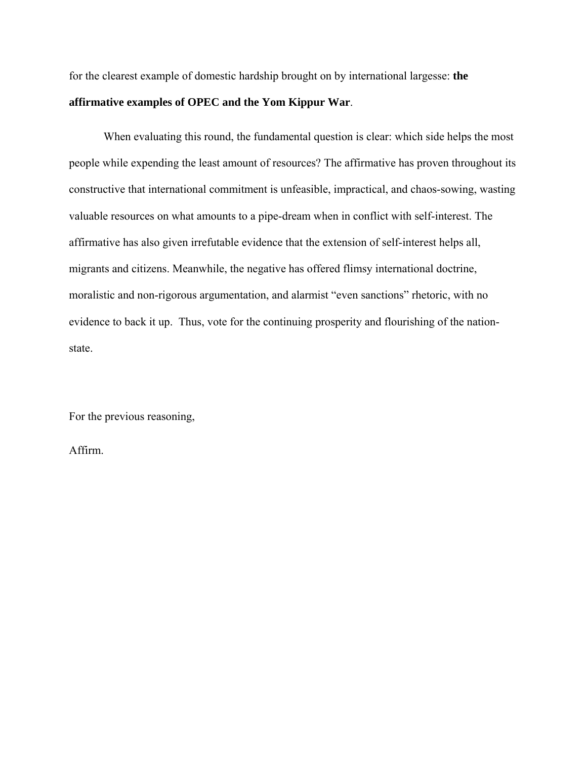for the clearest example of domestic hardship brought on by international largesse: **the affirmative examples of OPEC and the Yom Kippur War**.

When evaluating this round, the fundamental question is clear: which side helps the most people while expending the least amount of resources? The affirmative has proven throughout its constructive that international commitment is unfeasible, impractical, and chaos-sowing, wasting valuable resources on what amounts to a pipe-dream when in conflict with self-interest. The affirmative has also given irrefutable evidence that the extension of self-interest helps all, migrants and citizens. Meanwhile, the negative has offered flimsy international doctrine, moralistic and non-rigorous argumentation, and alarmist "even sanctions" rhetoric, with no evidence to back it up. Thus, vote for the continuing prosperity and flourishing of the nationstate.

For the previous reasoning,

Affirm.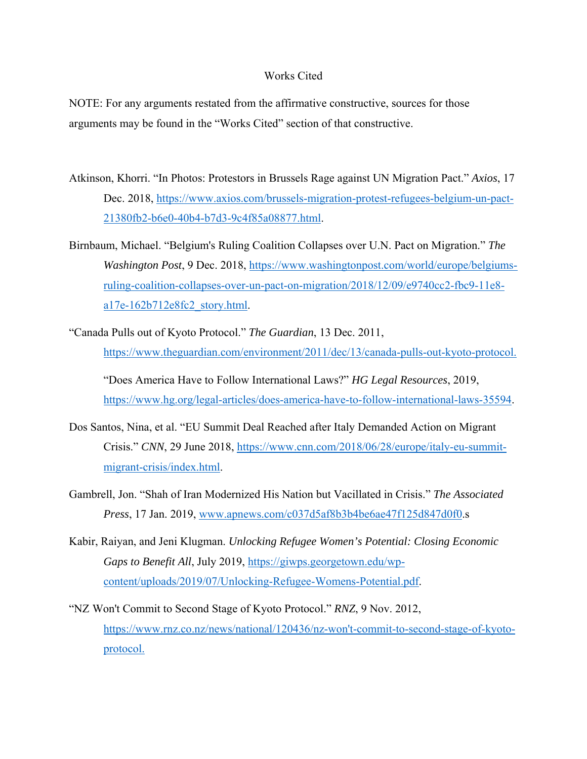#### Works Cited

NOTE: For any arguments restated from the affirmative constructive, sources for those arguments may be found in the "Works Cited" section of that constructive.

- Atkinson, Khorri. "In Photos: Protestors in Brussels Rage against UN Migration Pact." *Axios*, 17 Dec. 2018, https://www.axios.com/brussels-migration-protest-refugees-belgium-un-pact-21380fb2-b6e0-40b4-b7d3-9c4f85a08877.html.
- Birnbaum, Michael. "Belgium's Ruling Coalition Collapses over U.N. Pact on Migration." *The Washington Post*, 9 Dec. 2018, https://www.washingtonpost.com/world/europe/belgiumsruling-coalition-collapses-over-un-pact-on-migration/2018/12/09/e9740cc2-fbc9-11e8 a17e-162b712e8fc2\_story.html.
- "Canada Pulls out of Kyoto Protocol." *The Guardian*, 13 Dec. 2011, https://www.theguardian.com/environment/2011/dec/13/canada-pulls-out-kyoto-protocol.

"Does America Have to Follow International Laws?" *HG Legal Resources*, 2019, https://www.hg.org/legal-articles/does-america-have-to-follow-international-laws-35594.

- Dos Santos, Nina, et al. "EU Summit Deal Reached after Italy Demanded Action on Migrant Crisis." *CNN*, 29 June 2018, https://www.cnn.com/2018/06/28/europe/italy-eu-summitmigrant-crisis/index.html.
- Gambrell, Jon. "Shah of Iran Modernized His Nation but Vacillated in Crisis." *The Associated Press*, 17 Jan. 2019, www.apnews.com/c037d5af8b3b4be6ae47f125d847d0f0.s
- Kabir, Raiyan, and Jeni Klugman. *Unlocking Refugee Women's Potential: Closing Economic Gaps to Benefit All*, July 2019, https://giwps.georgetown.edu/wpcontent/uploads/2019/07/Unlocking-Refugee-Womens-Potential.pdf.
- "NZ Won't Commit to Second Stage of Kyoto Protocol." *RNZ*, 9 Nov. 2012, https://www.rnz.co.nz/news/national/120436/nz-won't-commit-to-second-stage-of-kyotoprotocol.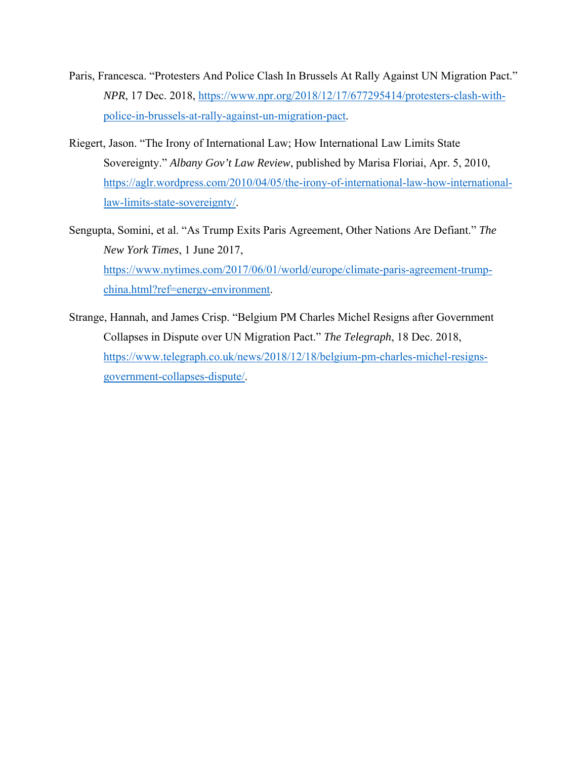- Paris, Francesca. "Protesters And Police Clash In Brussels At Rally Against UN Migration Pact." *NPR*, 17 Dec. 2018, https://www.npr.org/2018/12/17/677295414/protesters-clash-withpolice-in-brussels-at-rally-against-un-migration-pact.
- Riegert, Jason. "The Irony of International Law; How International Law Limits State Sovereignty." *Albany Gov't Law Review*, published by Marisa Floriai, Apr. 5, 2010, https://aglr.wordpress.com/2010/04/05/the-irony-of-international-law-how-internationallaw-limits-state-sovereignty/.
- Sengupta, Somini, et al. "As Trump Exits Paris Agreement, Other Nations Are Defiant." *The New York Times*, 1 June 2017, https://www.nytimes.com/2017/06/01/world/europe/climate-paris-agreement-trumpchina.html?ref=energy-environment.
- Strange, Hannah, and James Crisp. "Belgium PM Charles Michel Resigns after Government Collapses in Dispute over UN Migration Pact." *The Telegraph*, 18 Dec. 2018, https://www.telegraph.co.uk/news/2018/12/18/belgium-pm-charles-michel-resignsgovernment-collapses-dispute/.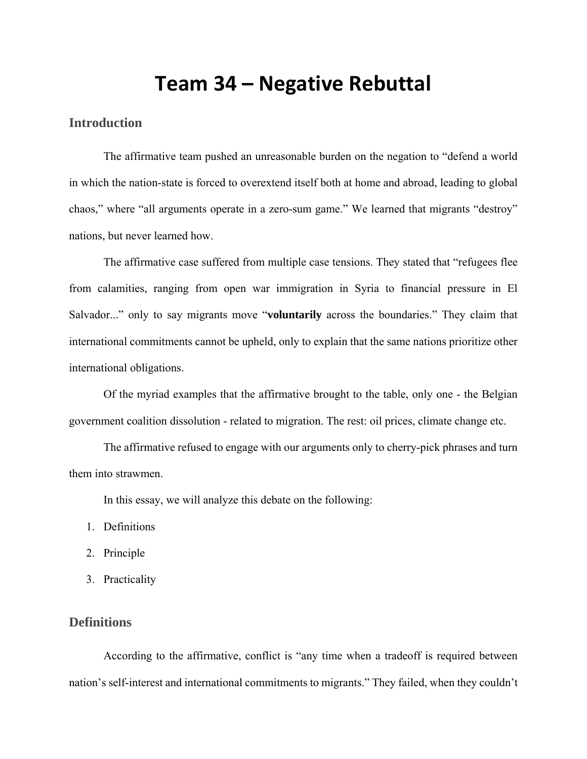# **Team 34 – Negative Rebuttal**

## **Introduction**

The affirmative team pushed an unreasonable burden on the negation to "defend a world in which the nation-state is forced to overextend itself both at home and abroad, leading to global chaos," where "all arguments operate in a zero-sum game." We learned that migrants "destroy" nations, but never learned how.

The affirmative case suffered from multiple case tensions. They stated that "refugees flee from calamities, ranging from open war immigration in Syria to financial pressure in El Salvador..." only to say migrants move "**voluntarily** across the boundaries." They claim that international commitments cannot be upheld, only to explain that the same nations prioritize other international obligations.

Of the myriad examples that the affirmative brought to the table, only one - the Belgian government coalition dissolution - related to migration. The rest: oil prices, climate change etc.

The affirmative refused to engage with our arguments only to cherry-pick phrases and turn them into strawmen.

In this essay, we will analyze this debate on the following:

- 1. Definitions
- 2. Principle
- 3. Practicality

### **Definitions**

According to the affirmative, conflict is "any time when a tradeoff is required between nation's self-interest and international commitments to migrants." They failed, when they couldn't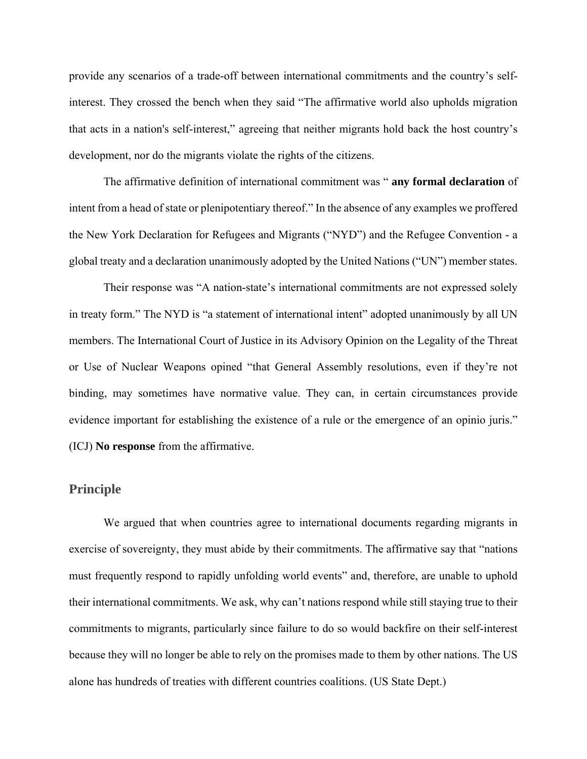provide any scenarios of a trade-off between international commitments and the country's selfinterest. They crossed the bench when they said "The affirmative world also upholds migration that acts in a nation's self-interest," agreeing that neither migrants hold back the host country's development, nor do the migrants violate the rights of the citizens.

The affirmative definition of international commitment was " **any formal declaration** of intent from a head of state or plenipotentiary thereof." In the absence of any examples we proffered the New York Declaration for Refugees and Migrants ("NYD") and the Refugee Convention - a global treaty and a declaration unanimously adopted by the United Nations ("UN") member states.

Their response was "A nation-state's international commitments are not expressed solely in treaty form." The NYD is "a statement of international intent" adopted unanimously by all UN members. The International Court of Justice in its Advisory Opinion on the Legality of the Threat or Use of Nuclear Weapons opined "that General Assembly resolutions, even if they're not binding, may sometimes have normative value. They can, in certain circumstances provide evidence important for establishing the existence of a rule or the emergence of an opinio juris." (ICJ) **No response** from the affirmative.

#### **Principle**

We argued that when countries agree to international documents regarding migrants in exercise of sovereignty, they must abide by their commitments. The affirmative say that "nations must frequently respond to rapidly unfolding world events" and, therefore, are unable to uphold their international commitments. We ask, why can't nations respond while still staying true to their commitments to migrants, particularly since failure to do so would backfire on their self-interest because they will no longer be able to rely on the promises made to them by other nations. The US alone has hundreds of treaties with different countries coalitions. (US State Dept.)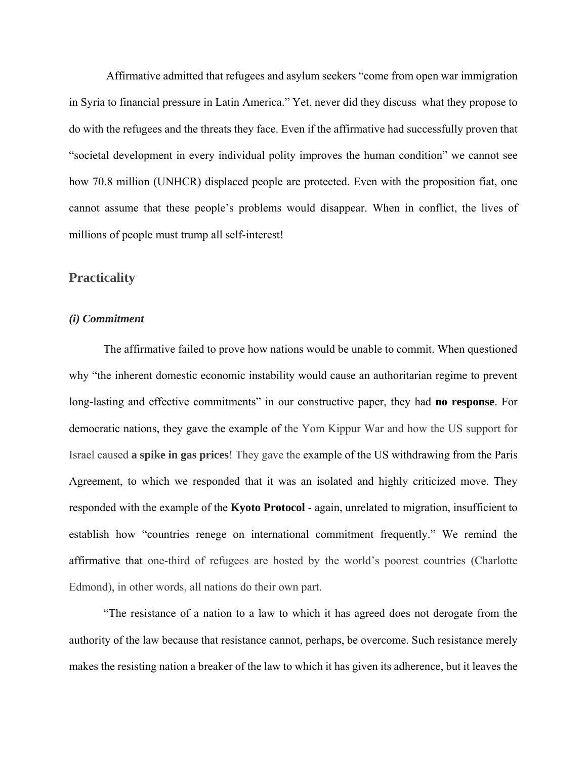Affirmative admitted that refugees and asylum seekers "come from open war immigration in Syria to financial pressure in Latin America." Yet, never did they discuss what they propose to do with the refugees and the threats they face. Even if the affirmative had successfully proven that "societal development in every individual polity improves the human condition" we cannot see how 70.8 million (UNHCR) displaced people are protected. Even with the proposition fiat, one cannot assume that these people's problems would disappear. When in conflict, the lives of millions of people must trump all self-interest!

#### **Practicality**

#### *(i) Commitment*

The affirmative failed to prove how nations would be unable to commit. When questioned why "the inherent domestic economic instability would cause an authoritarian regime to prevent long-lasting and effective commitments" in our constructive paper, they had **no response**. For democratic nations, they gave the example of the Yom Kippur War and how the US support for Israel caused **a spike in gas prices**! They gave the example of the US withdrawing from the Paris Agreement, to which we responded that it was an isolated and highly criticized move. They responded with the example of the **Kyoto Protocol** - again, unrelated to migration, insufficient to establish how "countries renege on international commitment frequently." We remind the affirmative that one-third of refugees are hosted by the world's poorest countries (Charlotte Edmond), in other words, all nations do their own part.

"The resistance of a nation to a law to which it has agreed does not derogate from the authority of the law because that resistance cannot, perhaps, be overcome. Such resistance merely makes the resisting nation a breaker of the law to which it has given its adherence, but it leaves the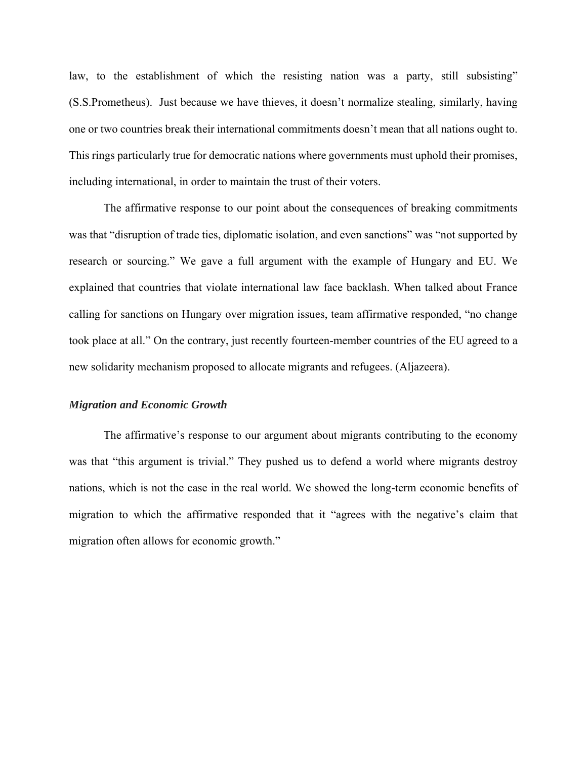law, to the establishment of which the resisting nation was a party, still subsisting" (S.S.Prometheus). Just because we have thieves, it doesn't normalize stealing, similarly, having one or two countries break their international commitments doesn't mean that all nations ought to. This rings particularly true for democratic nations where governments must uphold their promises, including international, in order to maintain the trust of their voters.

The affirmative response to our point about the consequences of breaking commitments was that "disruption of trade ties, diplomatic isolation, and even sanctions" was "not supported by research or sourcing." We gave a full argument with the example of Hungary and EU. We explained that countries that violate international law face backlash. When talked about France calling for sanctions on Hungary over migration issues, team affirmative responded, "no change took place at all." On the contrary, just recently fourteen-member countries of the EU agreed to a new solidarity mechanism proposed to allocate migrants and refugees. (Aljazeera).

#### *Migration and Economic Growth*

 The affirmative's response to our argument about migrants contributing to the economy was that "this argument is trivial." They pushed us to defend a world where migrants destroy nations, which is not the case in the real world. We showed the long-term economic benefits of migration to which the affirmative responded that it "agrees with the negative's claim that migration often allows for economic growth."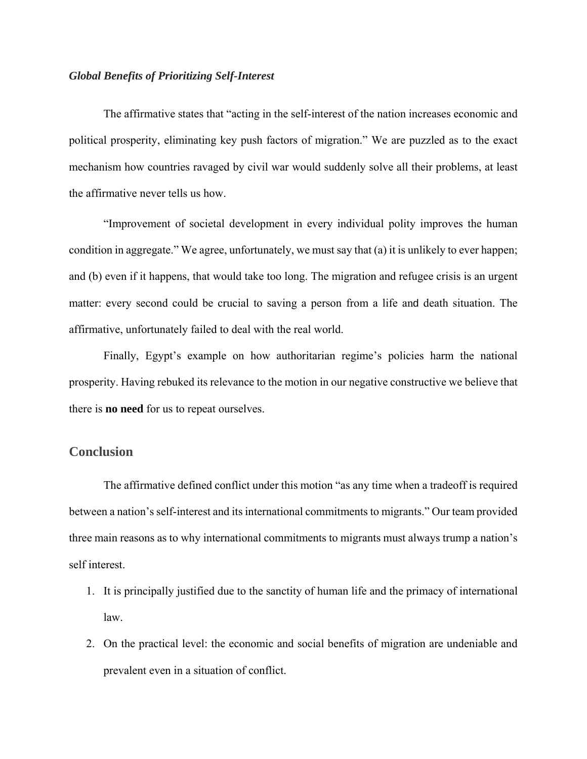#### *Global Benefits of Prioritizing Self-Interest*

The affirmative states that "acting in the self-interest of the nation increases economic and political prosperity, eliminating key push factors of migration." We are puzzled as to the exact mechanism how countries ravaged by civil war would suddenly solve all their problems, at least the affirmative never tells us how.

"Improvement of societal development in every individual polity improves the human condition in aggregate." We agree, unfortunately, we must say that (a) it is unlikely to ever happen; and (b) even if it happens, that would take too long. The migration and refugee crisis is an urgent matter: every second could be crucial to saving a person from a life and death situation. The affirmative, unfortunately failed to deal with the real world.

Finally, Egypt's example on how authoritarian regime's policies harm the national prosperity. Having rebuked its relevance to the motion in our negative constructive we believe that there is **no need** for us to repeat ourselves.

#### **Conclusion**

The affirmative defined conflict under this motion "as any time when a tradeoff is required between a nation's self-interest and its international commitments to migrants." Our team provided three main reasons as to why international commitments to migrants must always trump a nation's self interest.

- 1. It is principally justified due to the sanctity of human life and the primacy of international law.
- 2. On the practical level: the economic and social benefits of migration are undeniable and prevalent even in a situation of conflict.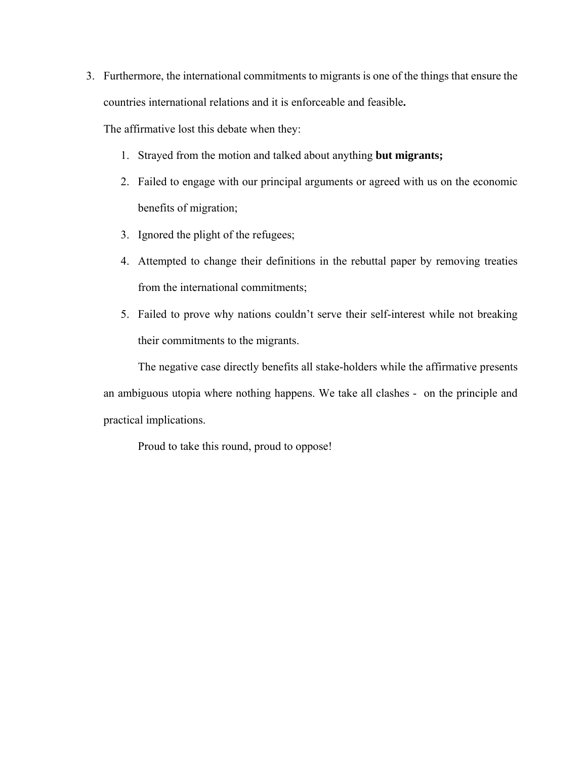3. Furthermore, the international commitments to migrants is one of the things that ensure the countries international relations and it is enforceable and feasible**.** 

The affirmative lost this debate when they:

- 1. Strayed from the motion and talked about anything **but migrants;**
- 2. Failed to engage with our principal arguments or agreed with us on the economic benefits of migration;
- 3. Ignored the plight of the refugees;
- 4. Attempted to change their definitions in the rebuttal paper by removing treaties from the international commitments;
- 5. Failed to prove why nations couldn't serve their self-interest while not breaking their commitments to the migrants.

The negative case directly benefits all stake-holders while the affirmative presents an ambiguous utopia where nothing happens. We take all clashes - on the principle and practical implications.

Proud to take this round, proud to oppose!